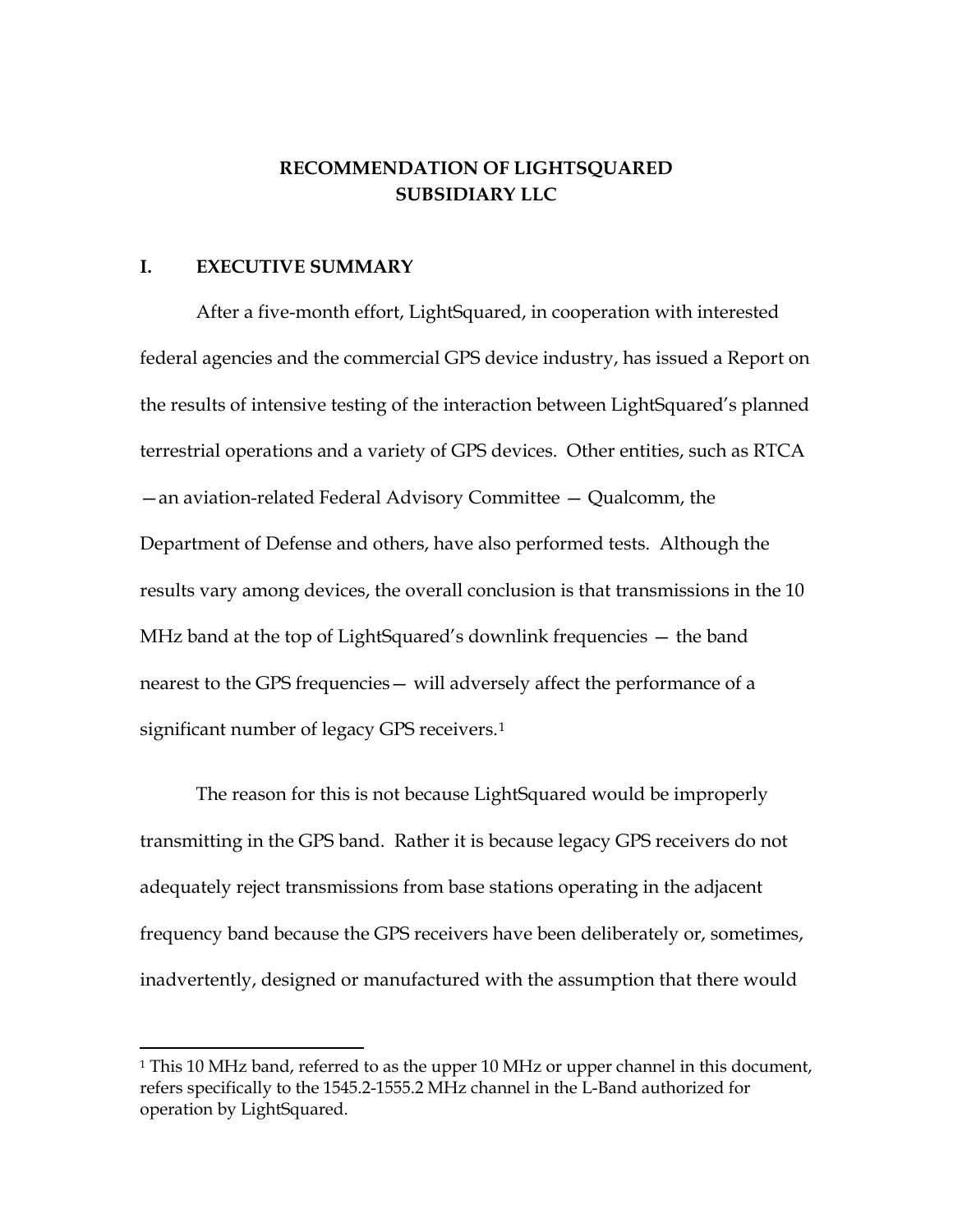# **RECOMMENDATION OF LIGHTSQUARED SUBSIDIARY LLC**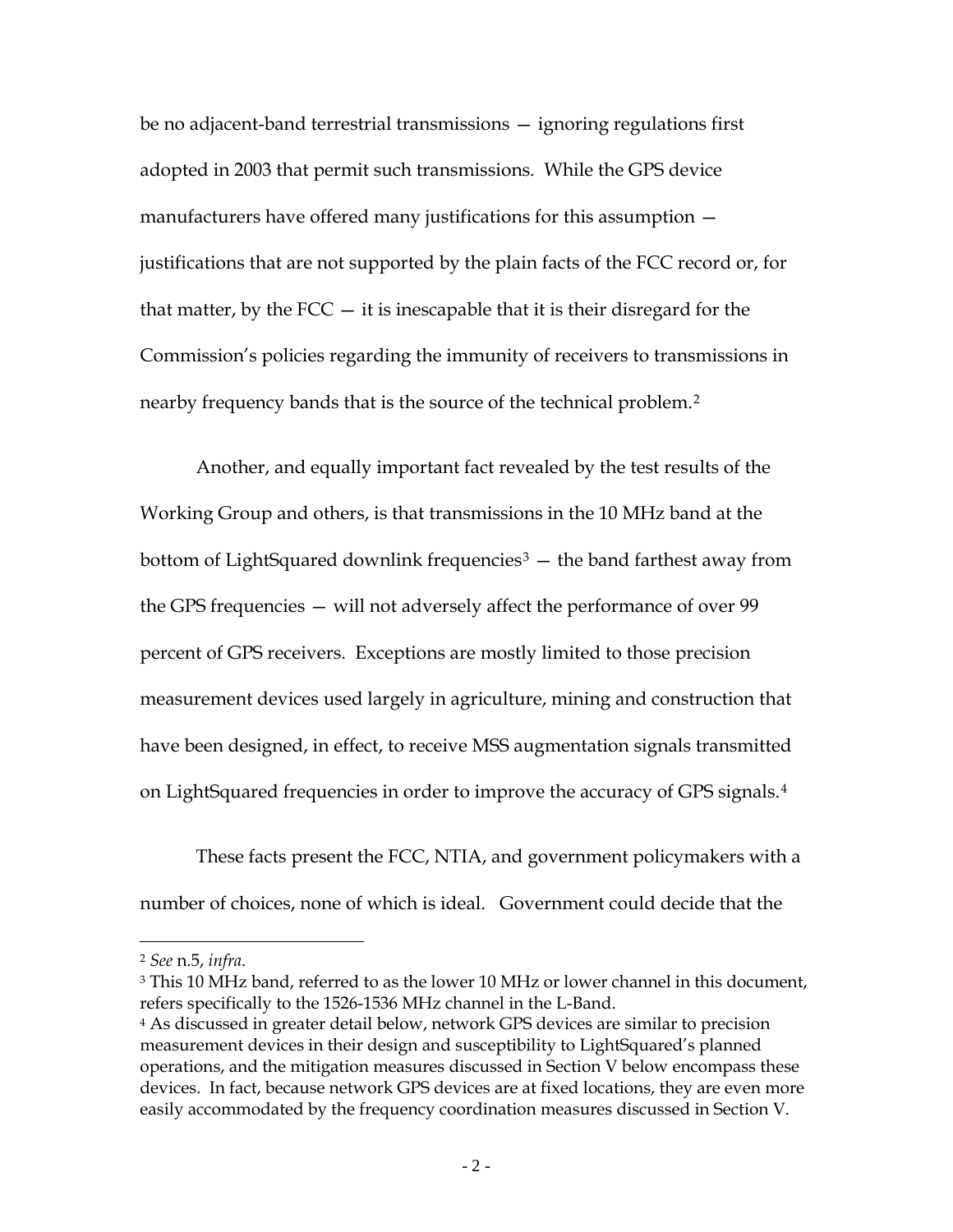## **RECOMMENDATION OF LIGHTSQUARED SUBSIDIARY LLC**

#### **I. EXECUTIVE SUMMARY**

 $\overline{a}$ 

After a five-month effort, LightSquared, in cooperation with interested federal agencies and the commercial GPS device industry, has issued a Report on the results of intensive testing of the interaction between LightSquared's planned terrestrial operations and a variety of GPS devices. Other entities, such as RTCA —an aviation-related Federal Advisory Committee — Qualcomm, the Department of Defense and others, have also performed tests. Although the results vary among devices, the overall conclusion is that transmissions in the 10 MHz band at the top of LightSquared's downlink frequencies — the band nearest to the GPS frequencies— will adversely affect the performance of a significant number of legacy GPS receivers.<sup>[1](#page-1-0)</sup>

The reason for this is not because LightSquared would be improperly transmitting in the GPS band. Rather it is because legacy GPS receivers do not adequately reject transmissions from base stations operating in the adjacent frequency band because the GPS receivers have been deliberately or, sometimes, inadvertently, designed or manufactured with the assumption that there would

<span id="page-1-0"></span><sup>&</sup>lt;sup>1</sup> This 10 MHz band, referred to as the upper 10 MHz or upper channel in this document, refers specifically to the 1545.2-1555.2 MHz channel in the L-Band authorized for operation by LightSquared.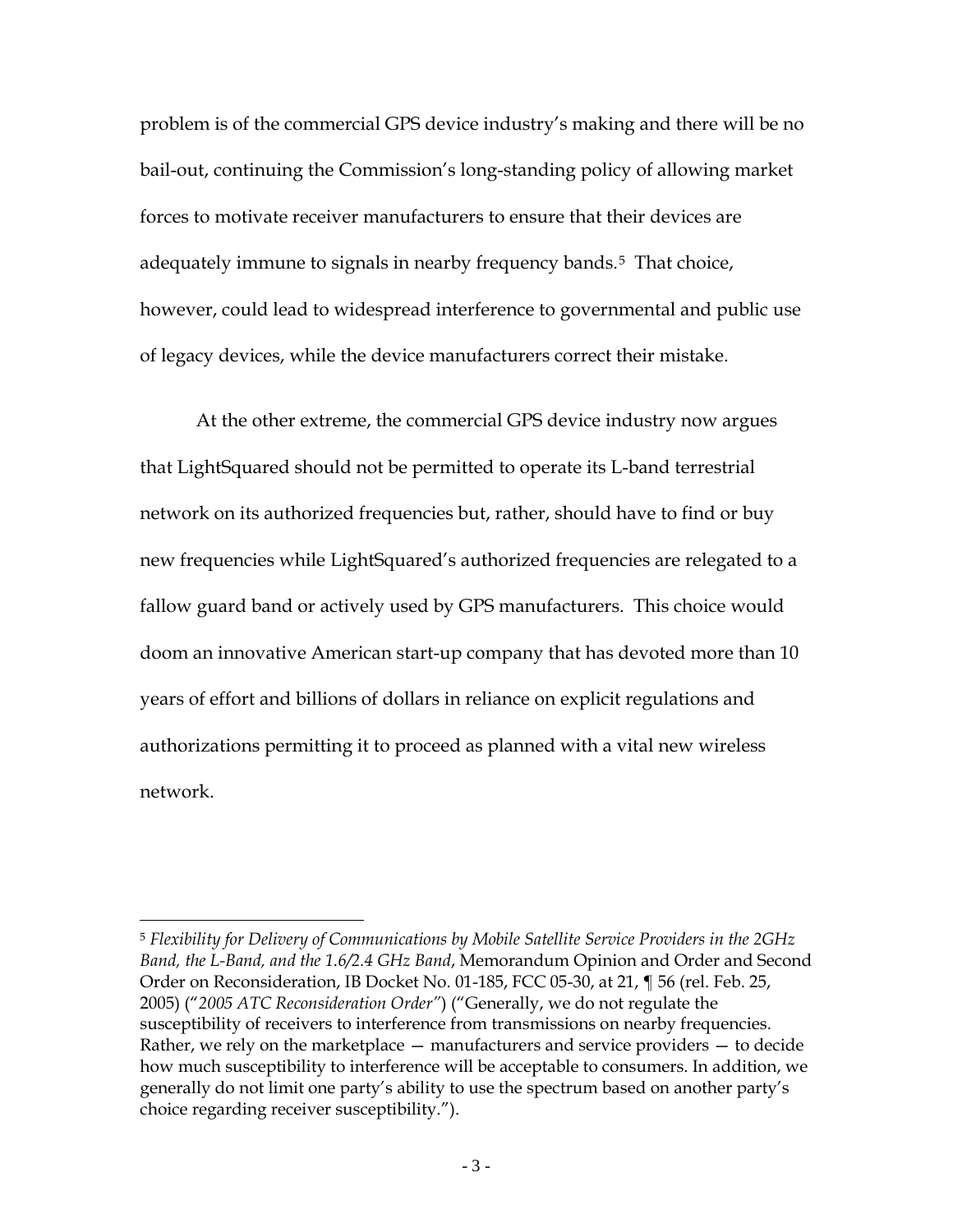be no adjacent-band terrestrial transmissions — ignoring regulations first adopted in 2003 that permit such transmissions. While the GPS device manufacturers have offered many justifications for this assumption justifications that are not supported by the plain facts of the FCC record or, for that matter, by the  $FCC - it$  is inescapable that it is their disregard for the Commission's policies regarding the immunity of receivers to transmissions in nearby frequency bands that is the source of the technical problem.<sup>[2](#page-2-0)</sup>

Another, and equally important fact revealed by the test results of the Working Group and others, is that transmissions in the 10 MHz band at the bottom of LightSquared downlink frequencies<sup>[3](#page-2-1)</sup>  $-$  the band farthest away from the GPS frequencies — will not adversely affect the performance of over 99 percent of GPS receivers. Exceptions are mostly limited to those precision measurement devices used largely in agriculture, mining and construction that have been designed, in effect, to receive MSS augmentation signals transmitted on LightSquared frequencies in order to improve the accuracy of GPS signals.[4](#page-2-2)

These facts present the FCC, NTIA, and government policymakers with a number of choices, none of which is ideal. Government could decide that the

 $\overline{a}$ 

<span id="page-2-1"></span><sup>3</sup> This 10 MHz band, referred to as the lower 10 MHz or lower channel in this document, refers specifically to the 1526-1536 MHz channel in the L-Band.

<span id="page-2-0"></span><sup>2</sup> *See* n.5, *infra*.

<span id="page-2-2"></span><sup>4</sup> As discussed in greater detail below, network GPS devices are similar to precision measurement devices in their design and susceptibility to LightSquared's planned operations, and the mitigation measures discussed in Section V below encompass these devices. In fact, because network GPS devices are at fixed locations, they are even more easily accommodated by the frequency coordination measures discussed in Section V.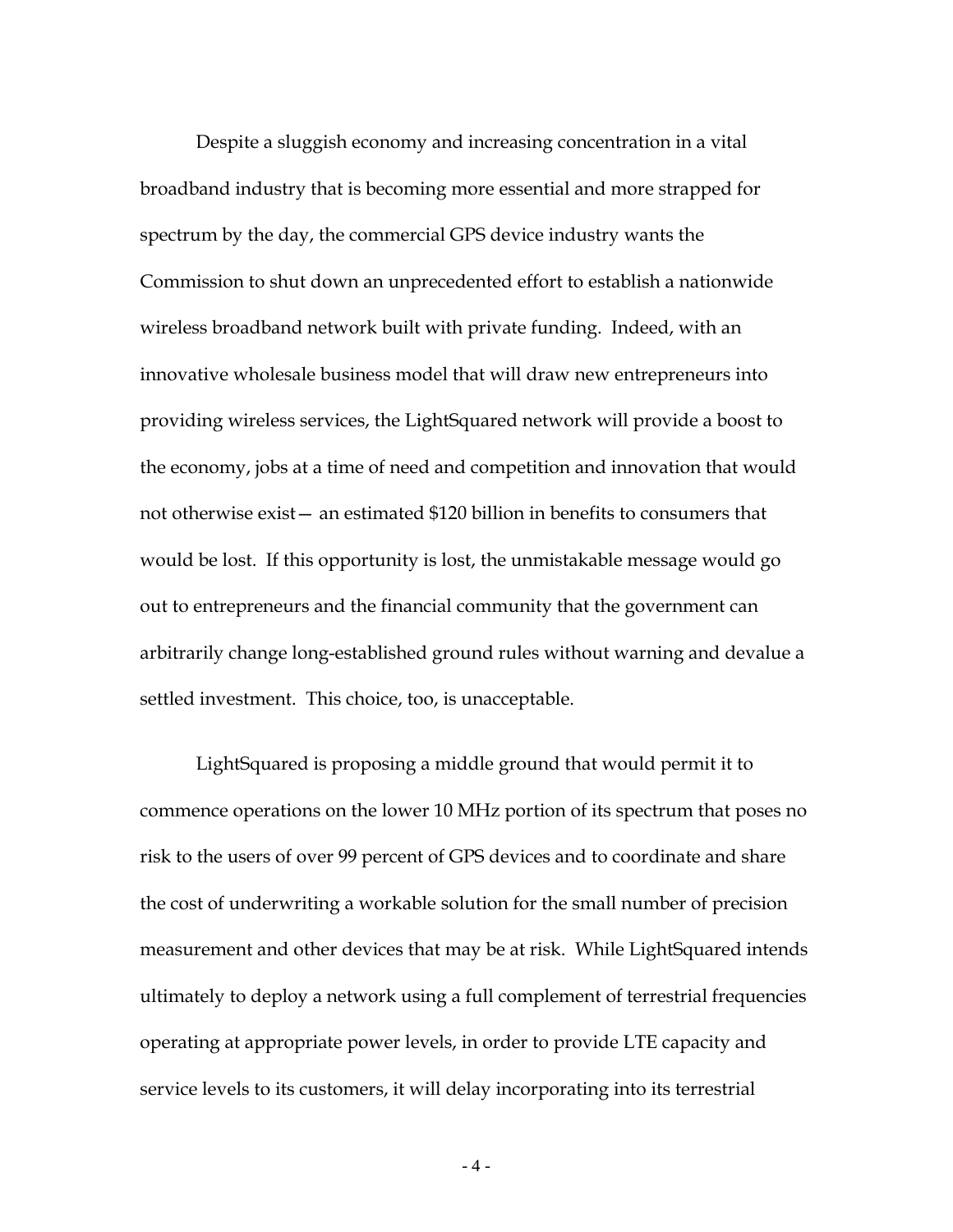problem is of the commercial GPS device industry's making and there will be no bail-out, continuing the Commission's long-standing policy of allowing market forces to motivate receiver manufacturers to ensure that their devices are adequately immune to signals in nearby frequency bands.<sup>[5](#page-3-0)</sup> That choice, however, could lead to widespread interference to governmental and public use of legacy devices, while the device manufacturers correct their mistake.

At the other extreme, the commercial GPS device industry now argues that LightSquared should not be permitted to operate its L-band terrestrial network on its authorized frequencies but, rather, should have to find or buy new frequencies while LightSquared's authorized frequencies are relegated to a fallow guard band or actively used by GPS manufacturers. This choice would doom an innovative American start-up company that has devoted more than 10 years of effort and billions of dollars in reliance on explicit regulations and authorizations permitting it to proceed as planned with a vital new wireless network.

<span id="page-3-0"></span><sup>5</sup> *Flexibility for Delivery of Communications by Mobile Satellite Service Providers in the 2GHz Band, the L-Band, and the 1.6/2.4 GHz Band*, Memorandum Opinion and Order and Second Order on Reconsideration, IB Docket No. 01-185, FCC 05-30, at 21, ¶ 56 (rel. Feb. 25, 2005) ("*2005 ATC Reconsideration Order"*) ("Generally, we do not regulate the susceptibility of receivers to interference from transmissions on nearby frequencies. Rather, we rely on the marketplace — manufacturers and service providers — to decide how much susceptibility to interference will be acceptable to consumers. In addition, we generally do not limit one party's ability to use the spectrum based on another party's choice regarding receiver susceptibility.").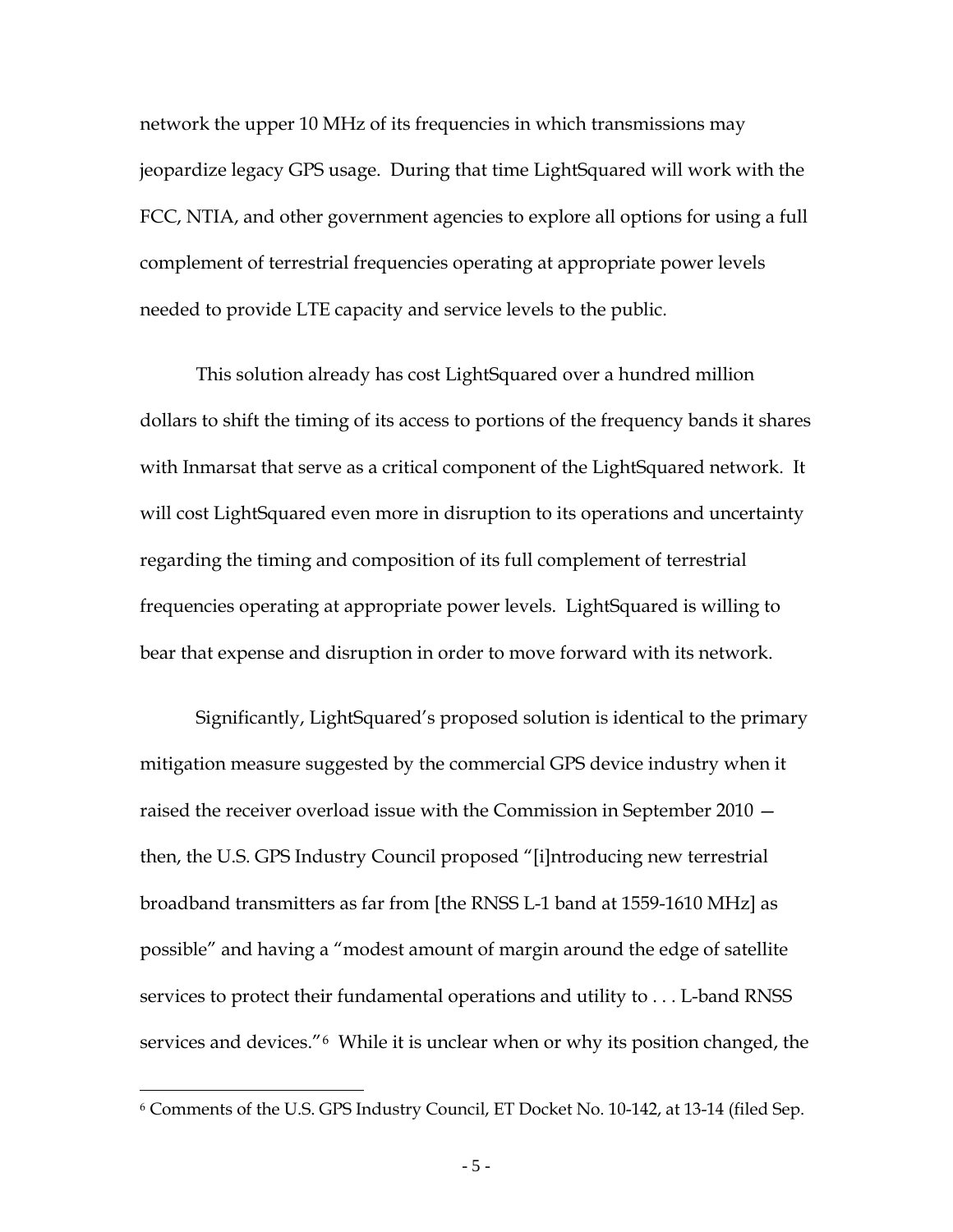Despite a sluggish economy and increasing concentration in a vital broadband industry that is becoming more essential and more strapped for spectrum by the day, the commercial GPS device industry wants the Commission to shut down an unprecedented effort to establish a nationwide wireless broadband network built with private funding. Indeed, with an innovative wholesale business model that will draw new entrepreneurs into providing wireless services, the LightSquared network will provide a boost to the economy, jobs at a time of need and competition and innovation that would not otherwise exist— an estimated \$120 billion in benefits to consumers that would be lost. If this opportunity is lost, the unmistakable message would go out to entrepreneurs and the financial community that the government can arbitrarily change long-established ground rules without warning and devalue a settled investment. This choice, too, is unacceptable.

LightSquared is proposing a middle ground that would permit it to commence operations on the lower 10 MHz portion of its spectrum that poses no risk to the users of over 99 percent of GPS devices and to coordinate and share the cost of underwriting a workable solution for the small number of precision measurement and other devices that may be at risk. While LightSquared intends ultimately to deploy a network using a full complement of terrestrial frequencies operating at appropriate power levels, in order to provide LTE capacity and service levels to its customers, it will delay incorporating into its terrestrial

 $-4-$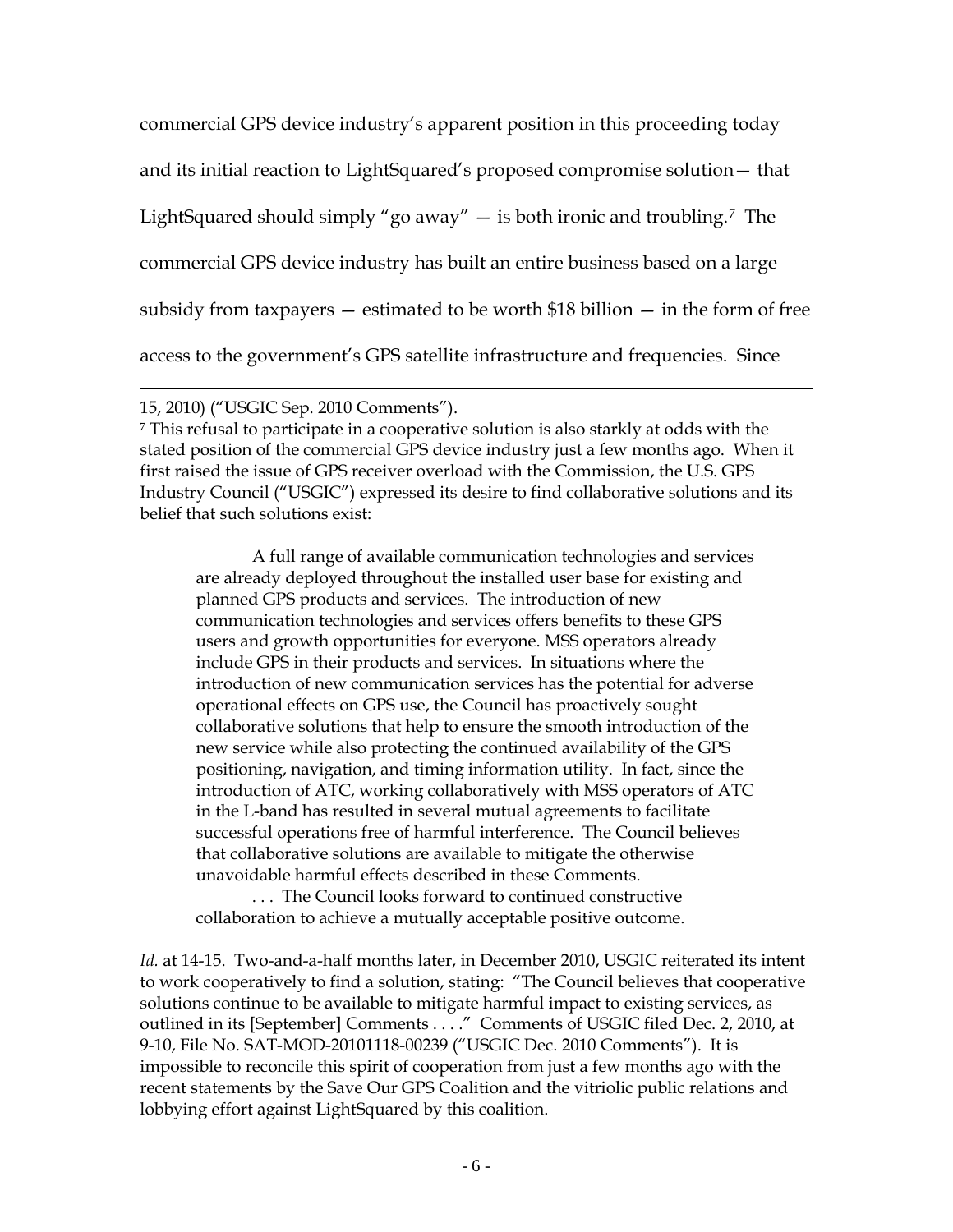network the upper 10 MHz of its frequencies in which transmissions may jeopardize legacy GPS usage. During that time LightSquared will work with the FCC, NTIA, and other government agencies to explore all options for using a full complement of terrestrial frequencies operating at appropriate power levels needed to provide LTE capacity and service levels to the public.

This solution already has cost LightSquared over a hundred million dollars to shift the timing of its access to portions of the frequency bands it shares with Inmarsat that serve as a critical component of the LightSquared network. It will cost LightSquared even more in disruption to its operations and uncertainty regarding the timing and composition of its full complement of terrestrial frequencies operating at appropriate power levels. LightSquared is willing to bear that expense and disruption in order to move forward with its network.

Significantly, LightSquared's proposed solution is identical to the primary mitigation measure suggested by the commercial GPS device industry when it raised the receiver overload issue with the Commission in September 2010 then, the U.S. GPS Industry Council proposed "[i]ntroducing new terrestrial broadband transmitters as far from [the RNSS L-1 band at 1559-1610 MHz] as possible" and having a "modest amount of margin around the edge of satellite services to protect their fundamental operations and utility to . . . L-band RNSS services and devices."[6](#page-5-0) While it is unclear when or why its position changed, the

<span id="page-5-0"></span><sup>6</sup> Comments of the U.S. GPS Industry Council, ET Docket No. 10-142, at 13-14 (filed Sep.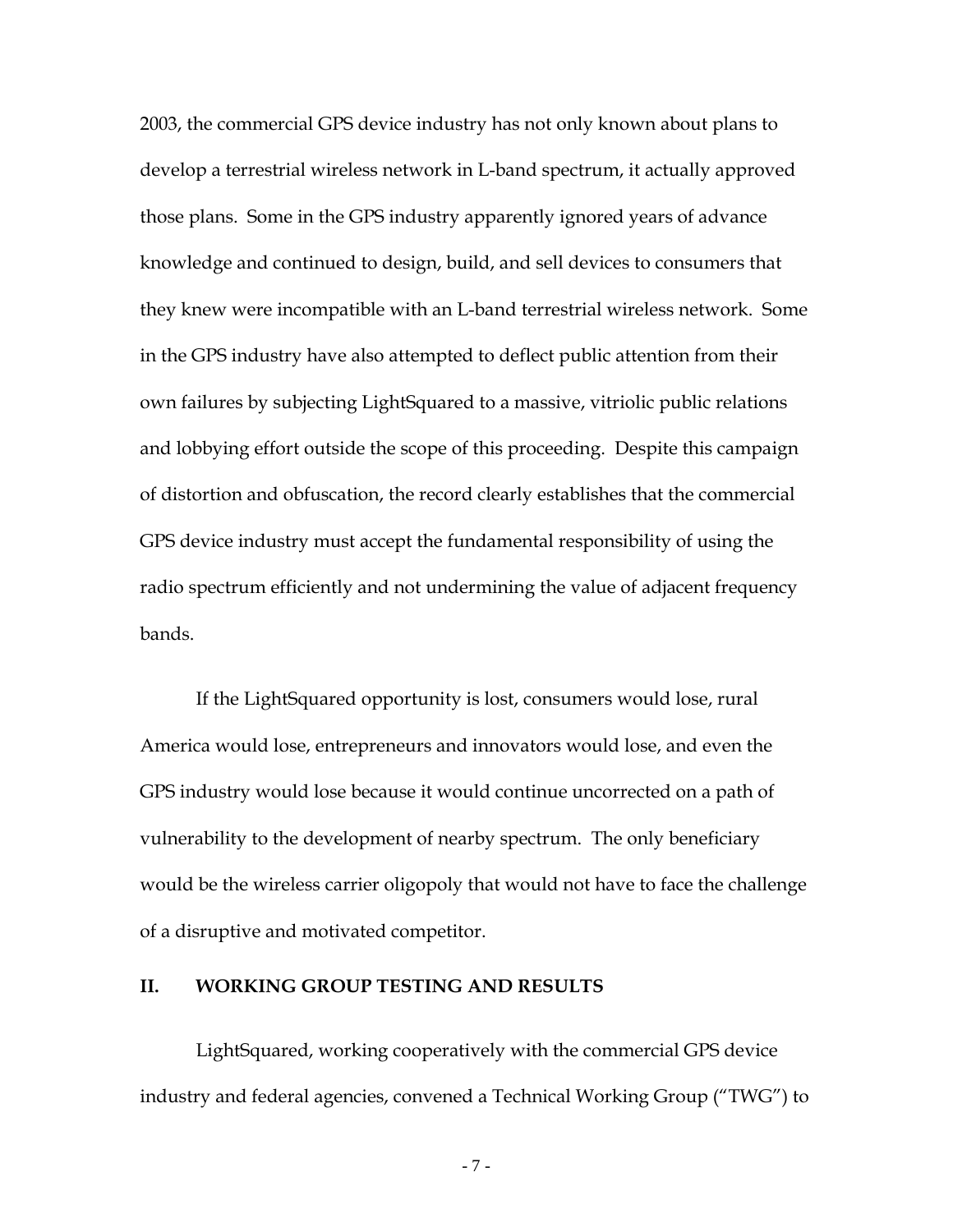commercial GPS device industry's apparent position in this proceeding today and its initial reaction to LightSquared's proposed compromise solution— that LightSquared should simply "go away" — is both ironic and troubling.[7](#page-6-0) The commercial GPS device industry has built an entire business based on a large subsidy from taxpayers  $-$  estimated to be worth \$18 billion  $-$  in the form of free access to the government's GPS satellite infrastructure and frequencies. Since

 $\overline{a}$ 

<span id="page-6-0"></span><sup>7</sup> This refusal to participate in a cooperative solution is also starkly at odds with the stated position of the commercial GPS device industry just a few months ago. When it first raised the issue of GPS receiver overload with the Commission, the U.S. GPS Industry Council ("USGIC") expressed its desire to find collaborative solutions and its belief that such solutions exist:

A full range of available communication technologies and services are already deployed throughout the installed user base for existing and planned GPS products and services. The introduction of new communication technologies and services offers benefits to these GPS users and growth opportunities for everyone. MSS operators already include GPS in their products and services. In situations where the introduction of new communication services has the potential for adverse operational effects on GPS use, the Council has proactively sought collaborative solutions that help to ensure the smooth introduction of the new service while also protecting the continued availability of the GPS positioning, navigation, and timing information utility. In fact, since the introduction of ATC, working collaboratively with MSS operators of ATC in the L-band has resulted in several mutual agreements to facilitate successful operations free of harmful interference. The Council believes that collaborative solutions are available to mitigate the otherwise unavoidable harmful effects described in these Comments.

. . . The Council looks forward to continued constructive collaboration to achieve a mutually acceptable positive outcome.

*Id.* at 14-15. Two-and-a-half months later, in December 2010, USGIC reiterated its intent to work cooperatively to find a solution, stating: "The Council believes that cooperative solutions continue to be available to mitigate harmful impact to existing services, as outlined in its [September] Comments . . . ." Comments of USGIC filed Dec. 2, 2010, at 9-10, File No. SAT-MOD-20101118-00239 ("USGIC Dec. 2010 Comments"). It is impossible to reconcile this spirit of cooperation from just a few months ago with the recent statements by the Save Our GPS Coalition and the vitriolic public relations and lobbying effort against LightSquared by this coalition.

<sup>15, 2010)</sup> ("USGIC Sep. 2010 Comments").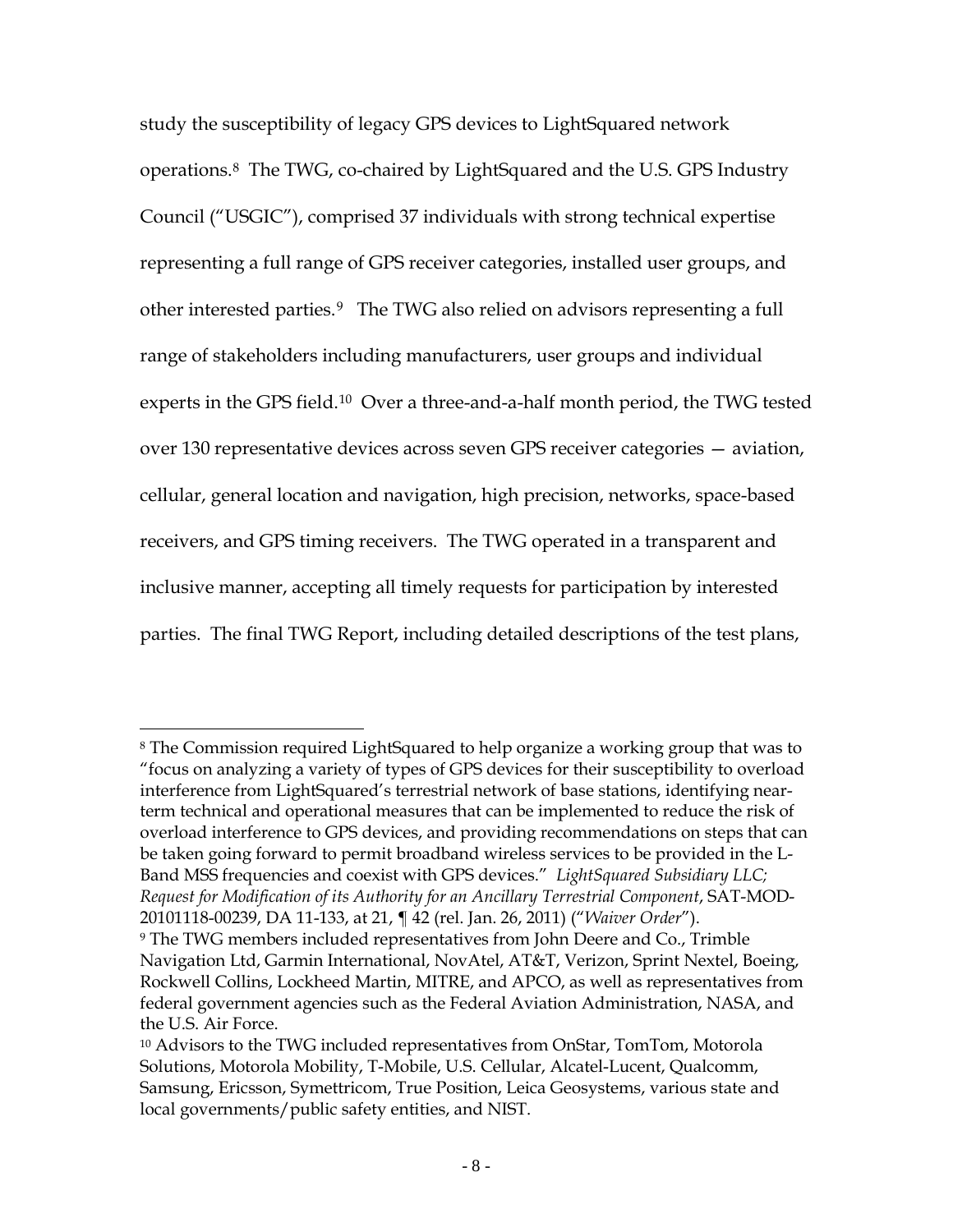2003, the commercial GPS device industry has not only known about plans to develop a terrestrial wireless network in L-band spectrum, it actually approved those plans. Some in the GPS industry apparently ignored years of advance knowledge and continued to design, build, and sell devices to consumers that they knew were incompatible with an L-band terrestrial wireless network. Some in the GPS industry have also attempted to deflect public attention from their own failures by subjecting LightSquared to a massive, vitriolic public relations and lobbying effort outside the scope of this proceeding. Despite this campaign of distortion and obfuscation, the record clearly establishes that the commercial GPS device industry must accept the fundamental responsibility of using the radio spectrum efficiently and not undermining the value of adjacent frequency bands.

If the LightSquared opportunity is lost, consumers would lose, rural America would lose, entrepreneurs and innovators would lose, and even the GPS industry would lose because it would continue uncorrected on a path of vulnerability to the development of nearby spectrum. The only beneficiary would be the wireless carrier oligopoly that would not have to face the challenge of a disruptive and motivated competitor.

## **II. WORKING GROUP TESTING AND RESULTS**

LightSquared, working cooperatively with the commercial GPS device industry and federal agencies, convened a Technical Working Group ("TWG") to

- 7 -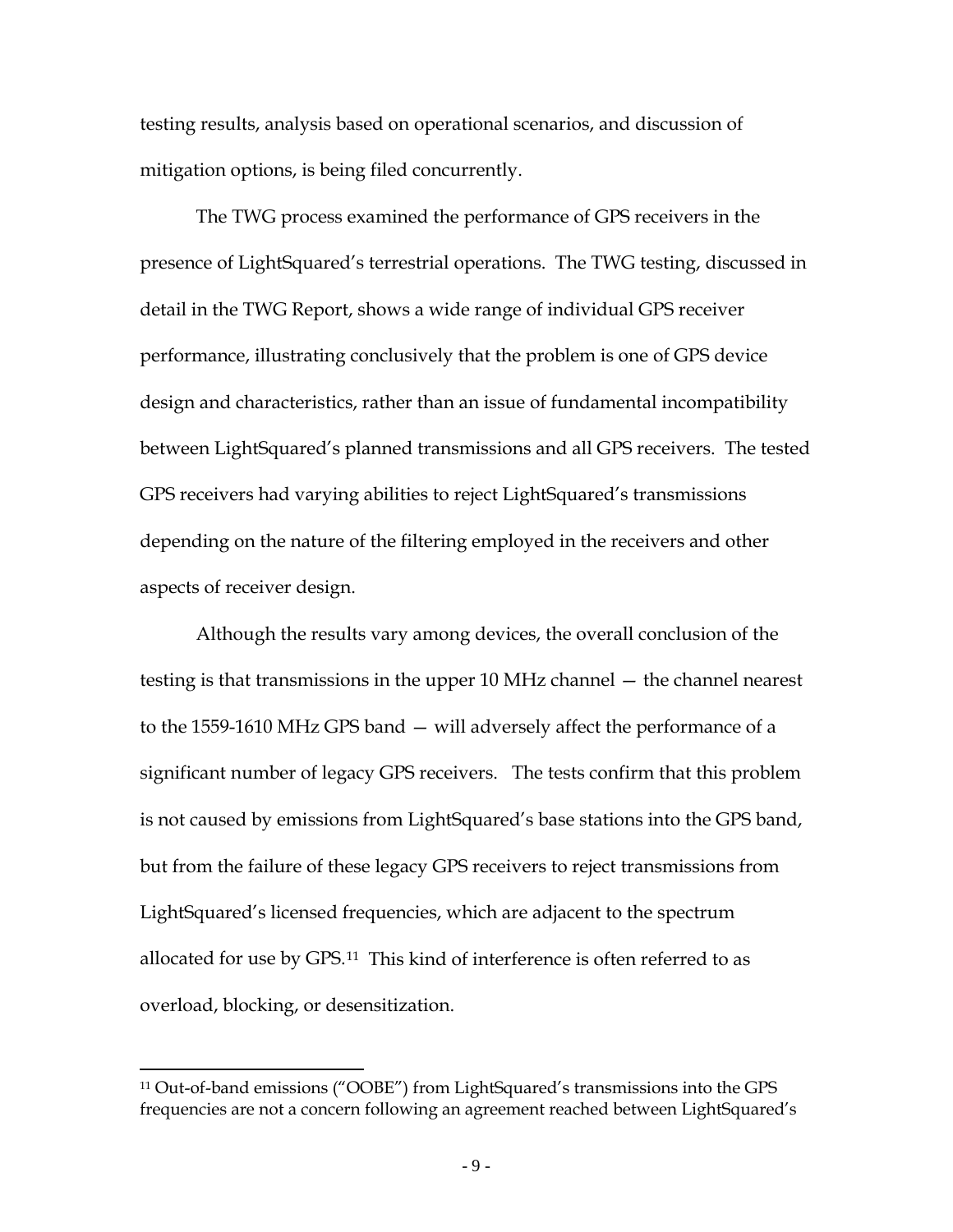study the susceptibility of legacy GPS devices to LightSquared network operations.[8](#page-8-0) The TWG, co-chaired by LightSquared and the U.S. GPS Industry Council ("USGIC"), comprised 37 individuals with strong technical expertise representing a full range of GPS receiver categories, installed user groups, and other interested parties.[9](#page-8-1) The TWG also relied on advisors representing a full range of stakeholders including manufacturers, user groups and individual experts in the GPS field.<sup>[10](#page-8-2)</sup> Over a three-and-a-half month period, the TWG tested over 130 representative devices across seven GPS receiver categories — aviation, cellular, general location and navigation, high precision, networks, space-based receivers, and GPS timing receivers. The TWG operated in a transparent and inclusive manner, accepting all timely requests for participation by interested parties. The final TWG Report, including detailed descriptions of the test plans,

<span id="page-8-0"></span> $\overline{a}$ <sup>8</sup> The Commission required LightSquared to help organize a working group that was to "focus on analyzing a variety of types of GPS devices for their susceptibility to overload interference from LightSquared's terrestrial network of base stations, identifying nearterm technical and operational measures that can be implemented to reduce the risk of overload interference to GPS devices, and providing recommendations on steps that can be taken going forward to permit broadband wireless services to be provided in the L-Band MSS frequencies and coexist with GPS devices." *LightSquared Subsidiary LLC; Request for Modification of its Authority for an Ancillary Terrestrial Component*, SAT-MOD-20101118-00239, DA 11-133, at 21, ¶ 42 (rel. Jan. 26, 2011) ("*Waiver Order*").

<span id="page-8-1"></span><sup>9</sup> The TWG members included representatives from John Deere and Co., Trimble Navigation Ltd, Garmin International, NovAtel, AT&T, Verizon, Sprint Nextel, Boeing, Rockwell Collins, Lockheed Martin, MITRE, and APCO, as well as representatives from federal government agencies such as the Federal Aviation Administration, NASA, and the U.S. Air Force.

<span id="page-8-2"></span><sup>10</sup> Advisors to the TWG included representatives from OnStar, TomTom, Motorola Solutions, Motorola Mobility, T-Mobile, U.S. Cellular, Alcatel-Lucent, Qualcomm, Samsung, Ericsson, Symettricom, True Position, Leica Geosystems, various state and local governments/public safety entities, and NIST.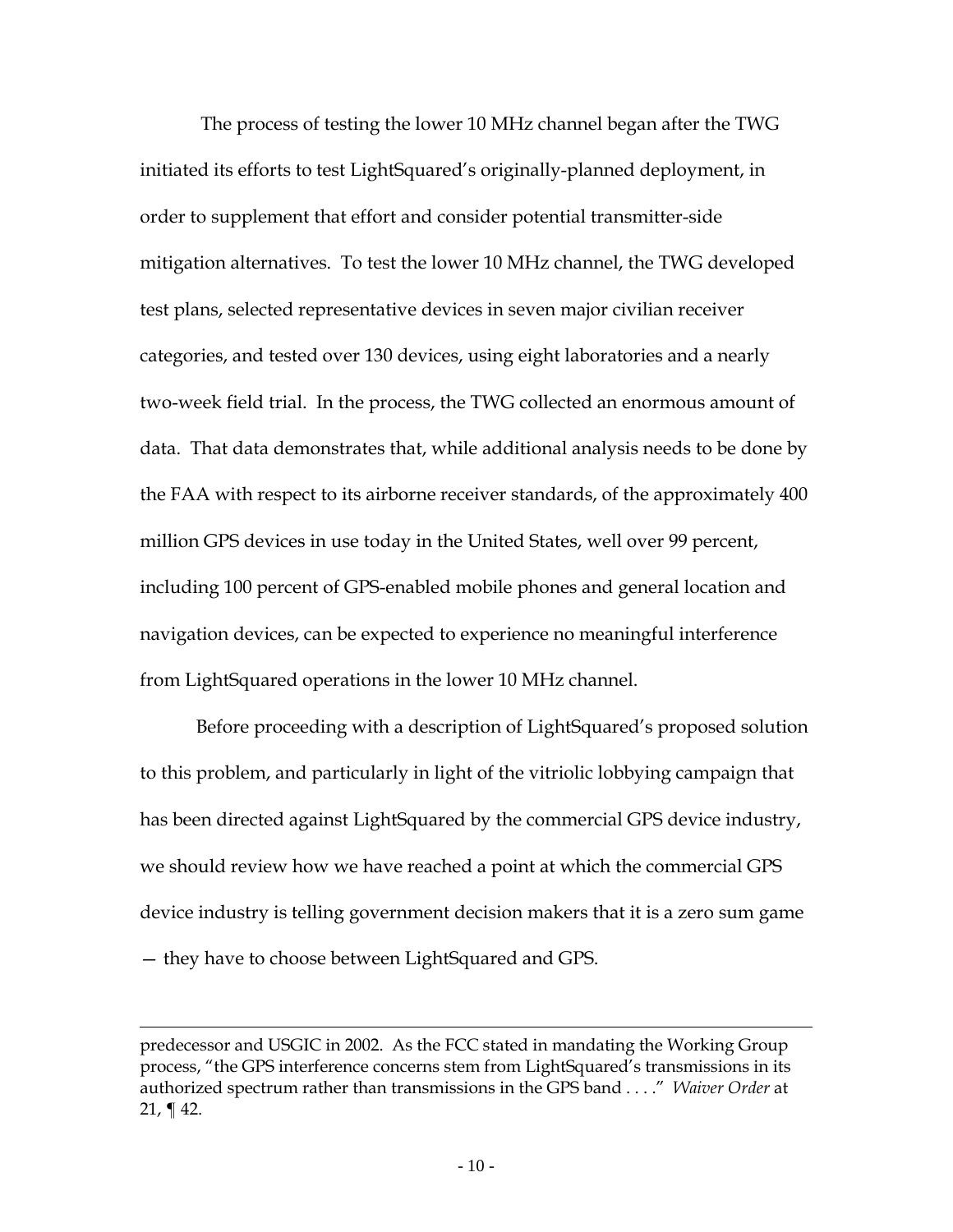testing results, analysis based on operational scenarios, and discussion of mitigation options, is being filed concurrently.

The TWG process examined the performance of GPS receivers in the presence of LightSquared's terrestrial operations. The TWG testing, discussed in detail in the TWG Report, shows a wide range of individual GPS receiver performance, illustrating conclusively that the problem is one of GPS device design and characteristics, rather than an issue of fundamental incompatibility between LightSquared's planned transmissions and all GPS receivers. The tested GPS receivers had varying abilities to reject LightSquared's transmissions depending on the nature of the filtering employed in the receivers and other aspects of receiver design.

Although the results vary among devices, the overall conclusion of the testing is that transmissions in the upper 10 MHz channel — the channel nearest to the 1559-1610 MHz GPS band — will adversely affect the performance of a significant number of legacy GPS receivers. The tests confirm that this problem is not caused by emissions from LightSquared's base stations into the GPS band, but from the failure of these legacy GPS receivers to reject transmissions from LightSquared's licensed frequencies, which are adjacent to the spectrum allocated for use by GPS.[11](#page-9-0) This kind of interference is often referred to as overload, blocking, or desensitization.

<span id="page-9-0"></span><sup>11</sup> Out-of-band emissions ("OOBE") from LightSquared's transmissions into the GPS frequencies are not a concern following an agreement reached between LightSquared's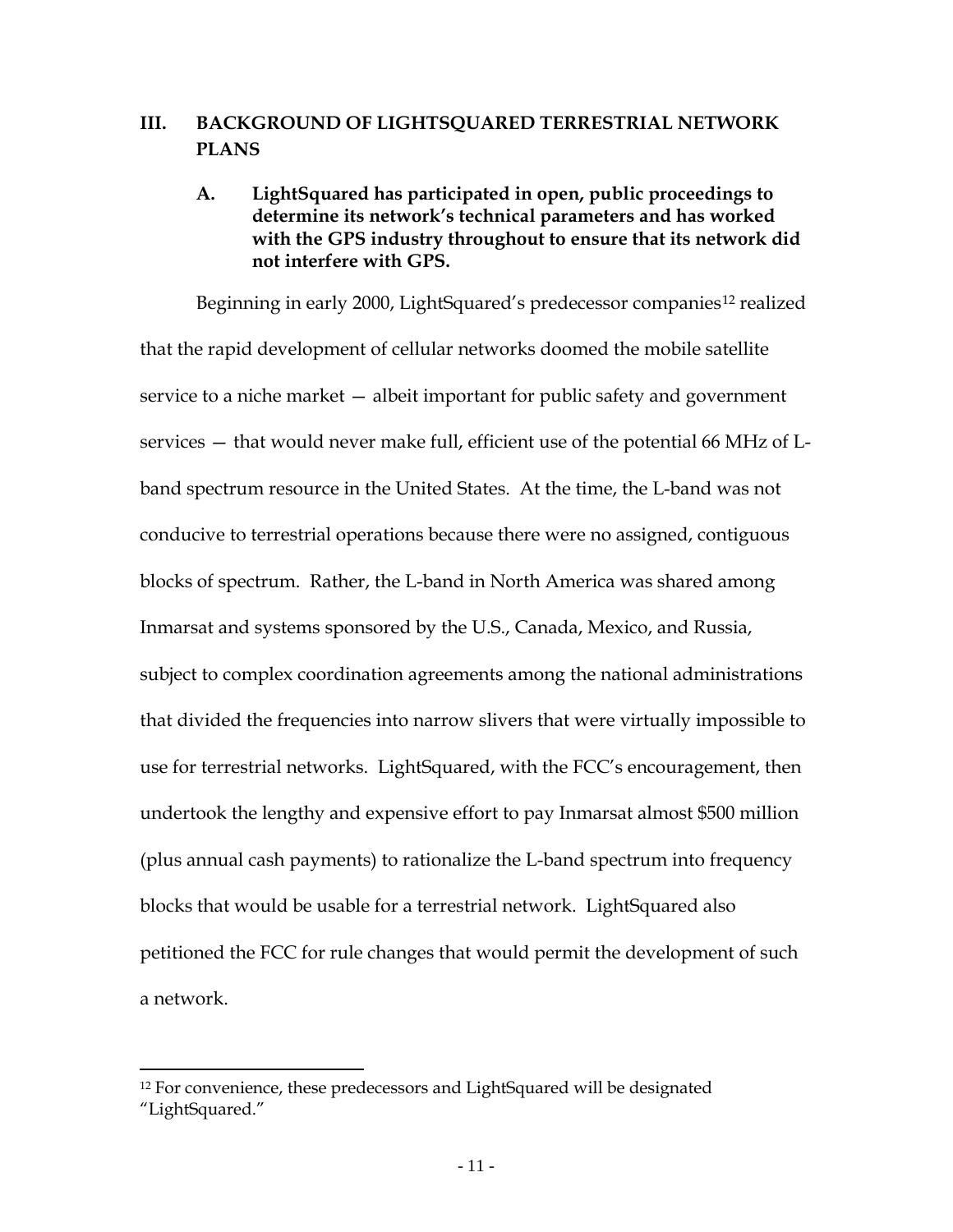The process of testing the lower 10 MHz channel began after the TWG initiated its efforts to test LightSquared's originally-planned deployment, in order to supplement that effort and consider potential transmitter-side mitigation alternatives. To test the lower 10 MHz channel, the TWG developed test plans, selected representative devices in seven major civilian receiver categories, and tested over 130 devices, using eight laboratories and a nearly two-week field trial. In the process, the TWG collected an enormous amount of data. That data demonstrates that, while additional analysis needs to be done by the FAA with respect to its airborne receiver standards, of the approximately 400 million GPS devices in use today in the United States, well over 99 percent, including 100 percent of GPS-enabled mobile phones and general location and navigation devices, can be expected to experience no meaningful interference from LightSquared operations in the lower 10 MHz channel.

Before proceeding with a description of LightSquared's proposed solution to this problem, and particularly in light of the vitriolic lobbying campaign that has been directed against LightSquared by the commercial GPS device industry, we should review how we have reached a point at which the commercial GPS device industry is telling government decision makers that it is a zero sum game — they have to choose between LightSquared and GPS.

predecessor and USGIC in 2002. As the FCC stated in mandating the Working Group process, "the GPS interference concerns stem from LightSquared's transmissions in its authorized spectrum rather than transmissions in the GPS band . . . ." *Waiver Order* at 21,  $\P$  42.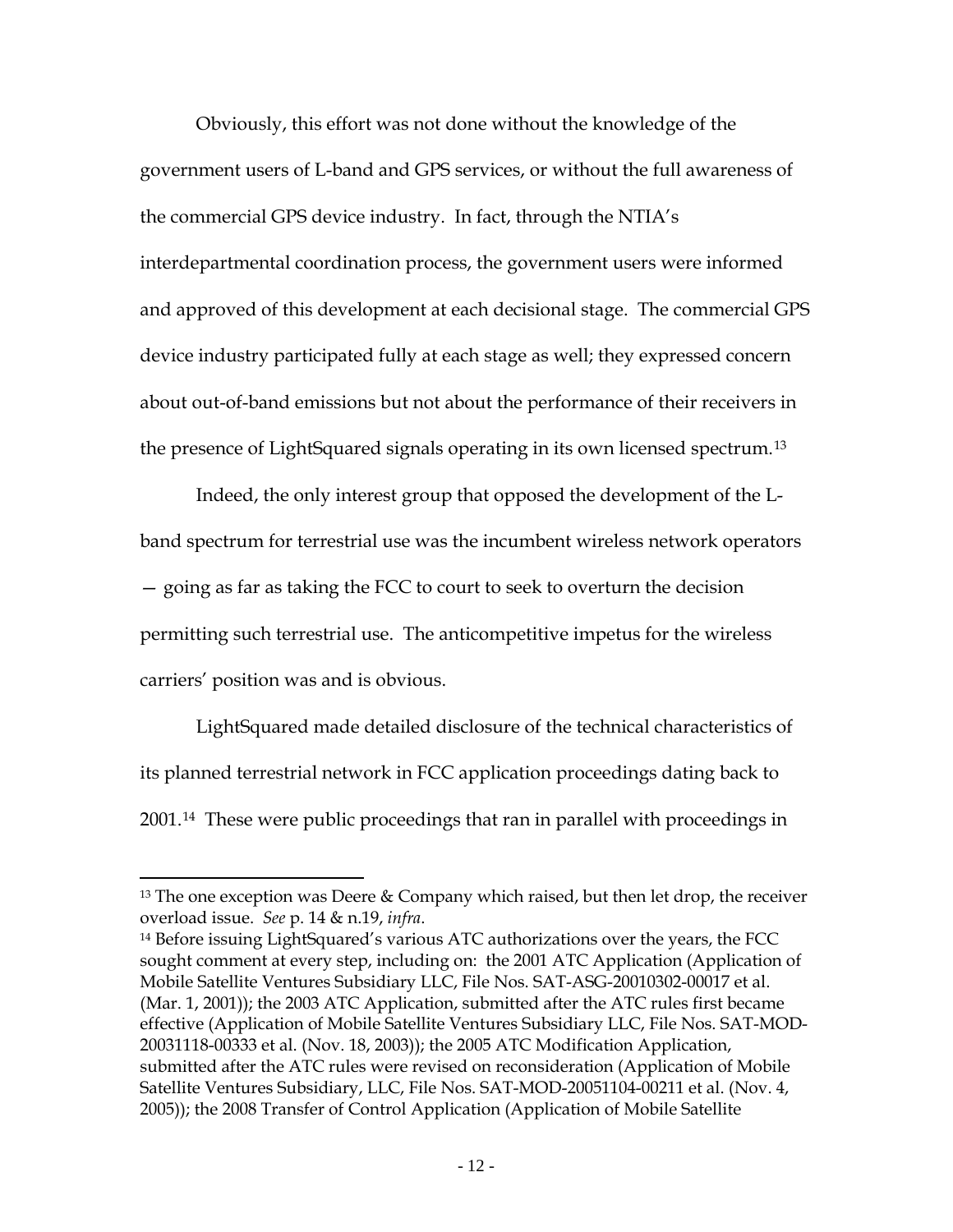# **III. BACKGROUND OF LIGHTSQUARED TERRESTRIAL NETWORK PLANS**

# **A. LightSquared has participated in open, public proceedings to determine its network's technical parameters and has worked with the GPS industry throughout to ensure that its network did not interfere with GPS.**

Beginning in early 2000, LightSquared's predecessor companies<sup>[12](#page-11-0)</sup> realized that the rapid development of cellular networks doomed the mobile satellite service to a niche market — albeit important for public safety and government services — that would never make full, efficient use of the potential 66 MHz of Lband spectrum resource in the United States. At the time, the L-band was not conducive to terrestrial operations because there were no assigned, contiguous blocks of spectrum. Rather, the L-band in North America was shared among Inmarsat and systems sponsored by the U.S., Canada, Mexico, and Russia, subject to complex coordination agreements among the national administrations that divided the frequencies into narrow slivers that were virtually impossible to use for terrestrial networks. LightSquared, with the FCC's encouragement, then undertook the lengthy and expensive effort to pay Inmarsat almost \$500 million (plus annual cash payments) to rationalize the L-band spectrum into frequency blocks that would be usable for a terrestrial network. LightSquared also petitioned the FCC for rule changes that would permit the development of such a network.

<span id="page-11-0"></span><sup>&</sup>lt;sup>12</sup> For convenience, these predecessors and LightSquared will be designated "LightSquared."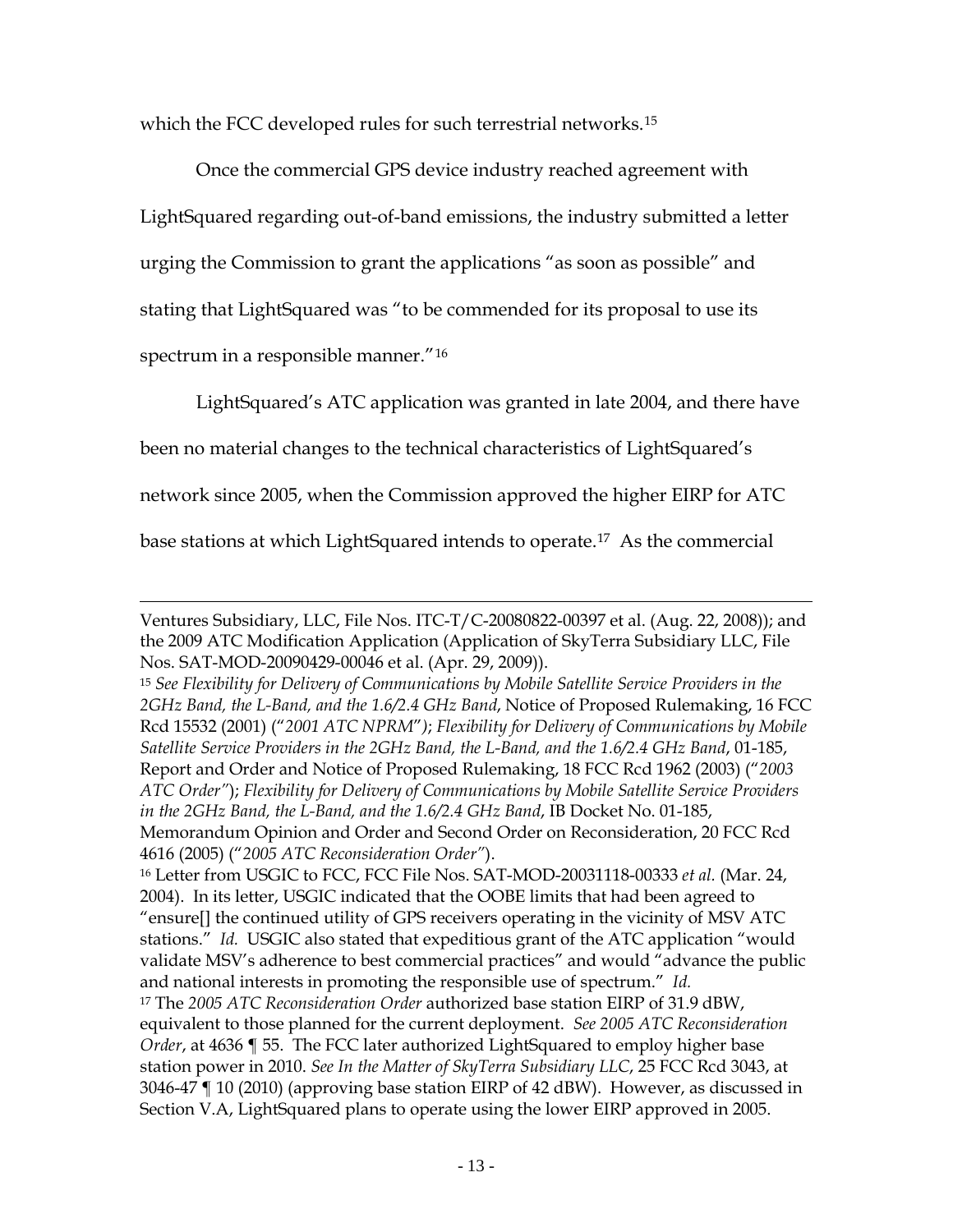Obviously, this effort was not done without the knowledge of the government users of L-band and GPS services, or without the full awareness of the commercial GPS device industry. In fact, through the NTIA's interdepartmental coordination process, the government users were informed and approved of this development at each decisional stage. The commercial GPS device industry participated fully at each stage as well; they expressed concern about out-of-band emissions but not about the performance of their receivers in the presence of LightSquared signals operating in its own licensed spectrum.[13](#page-12-0)

Indeed, the only interest group that opposed the development of the Lband spectrum for terrestrial use was the incumbent wireless network operators — going as far as taking the FCC to court to seek to overturn the decision permitting such terrestrial use. The anticompetitive impetus for the wireless carriers' position was and is obvious.

LightSquared made detailed disclosure of the technical characteristics of its planned terrestrial network in FCC application proceedings dating back to 2001[.14](#page-12-1) These were public proceedings that ran in parallel with proceedings in

<span id="page-12-0"></span> $13$  The one exception was Deere & Company which raised, but then let drop, the receiver overload issue. *See* p. 14 & n.19, *infra*.

<span id="page-12-1"></span><sup>14</sup> Before issuing LightSquared's various ATC authorizations over the years, the FCC sought comment at every step, including on: the 2001 ATC Application (Application of Mobile Satellite Ventures Subsidiary LLC, File Nos. SAT-ASG-20010302-00017 et al. (Mar. 1, 2001)); the 2003 ATC Application, submitted after the ATC rules first became effective (Application of Mobile Satellite Ventures Subsidiary LLC, File Nos. SAT-MOD-20031118-00333 et al. (Nov. 18, 2003)); the 2005 ATC Modification Application, submitted after the ATC rules were revised on reconsideration (Application of Mobile Satellite Ventures Subsidiary, LLC, File Nos. SAT-MOD-20051104-00211 et al. (Nov. 4, 2005)); the 2008 Transfer of Control Application (Application of Mobile Satellite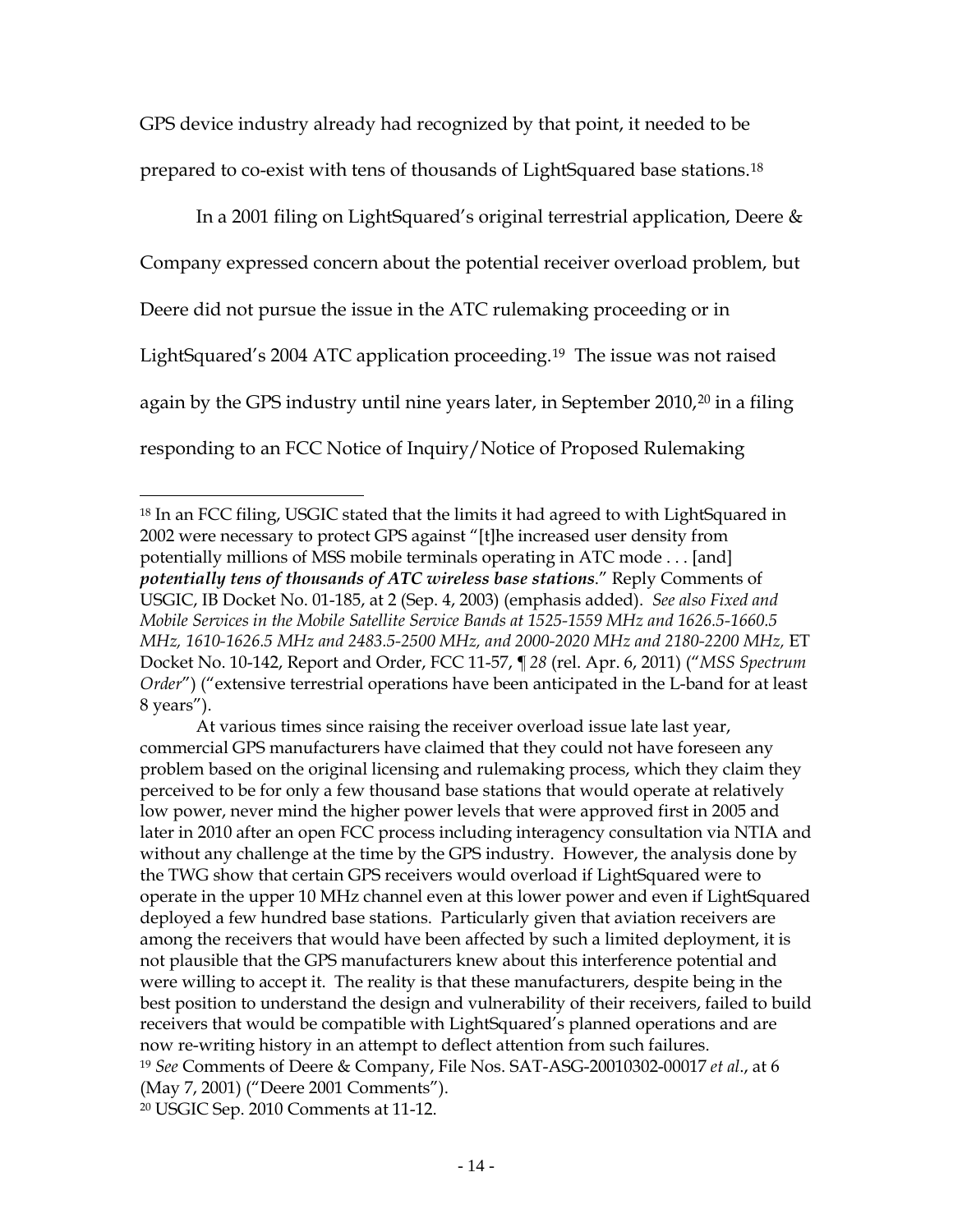which the FCC developed rules for such terrestrial networks.<sup>[15](#page-13-0)</sup>

Once the commercial GPS device industry reached agreement with LightSquared regarding out-of-band emissions, the industry submitted a letter urging the Commission to grant the applications "as soon as possible" and stating that LightSquared was "to be commended for its proposal to use its spectrum in a responsible manner." [16](#page-13-1)

LightSquared's ATC application was granted in late 2004, and there have

been no material changes to the technical characteristics of LightSquared's

network since 2005, when the Commission approved the higher EIRP for ATC

base stations at which LightSquared intends to operate.[17](#page-13-2) As the commercial

 $\overline{a}$ Ventures Subsidiary, LLC, File Nos. ITC-T/C-20080822-00397 et al. (Aug. 22, 2008)); and the 2009 ATC Modification Application (Application of SkyTerra Subsidiary LLC, File Nos. SAT-MOD-20090429-00046 et al. (Apr. 29, 2009)).

<span id="page-13-0"></span><sup>15</sup> *See Flexibility for Delivery of Communications by Mobile Satellite Service Providers in the 2GHz Band, the L-Band, and the 1.6/2.4 GHz Band*, Notice of Proposed Rulemaking, 16 FCC Rcd 15532 (2001) ("*2001 ATC NPRM*"*)*; *Flexibility for Delivery of Communications by Mobile Satellite Service Providers in the 2GHz Band, the L-Band, and the 1.6/2.4 GHz Band*, 01-185, Report and Order and Notice of Proposed Rulemaking, 18 FCC Rcd 1962 (2003) ("*2003 ATC Order"*); *Flexibility for Delivery of Communications by Mobile Satellite Service Providers in the 2GHz Band, the L-Band, and the 1.6/2.4 GHz Band*, IB Docket No. 01-185, Memorandum Opinion and Order and Second Order on Reconsideration, 20 FCC Rcd

<sup>4616 (2005) (&</sup>quot;*2005 ATC Reconsideration Order"*).

<span id="page-13-1"></span><sup>16</sup> Letter from USGIC to FCC, FCC File Nos. SAT-MOD-20031118-00333 *et al.* (Mar. 24, 2004). In its letter, USGIC indicated that the OOBE limits that had been agreed to "ensure[] the continued utility of GPS receivers operating in the vicinity of MSV ATC stations." *Id.* USGIC also stated that expeditious grant of the ATC application "would validate MSV's adherence to best commercial practices" and would "advance the public and national interests in promoting the responsible use of spectrum." *Id.*

<span id="page-13-2"></span><sup>17</sup> The *2005 ATC Reconsideration Order* authorized base station EIRP of 31.9 dBW, equivalent to those planned for the current deployment. *See 2005 ATC Reconsideration Order*, at 4636 ¶ 55. The FCC later authorized LightSquared to employ higher base station power in 2010. *See In the Matter of SkyTerra Subsidiary LLC*, 25 FCC Rcd 3043, at 3046-47 ¶ 10 (2010) (approving base station EIRP of 42 dBW). However, as discussed in Section V.A, LightSquared plans to operate using the lower EIRP approved in 2005.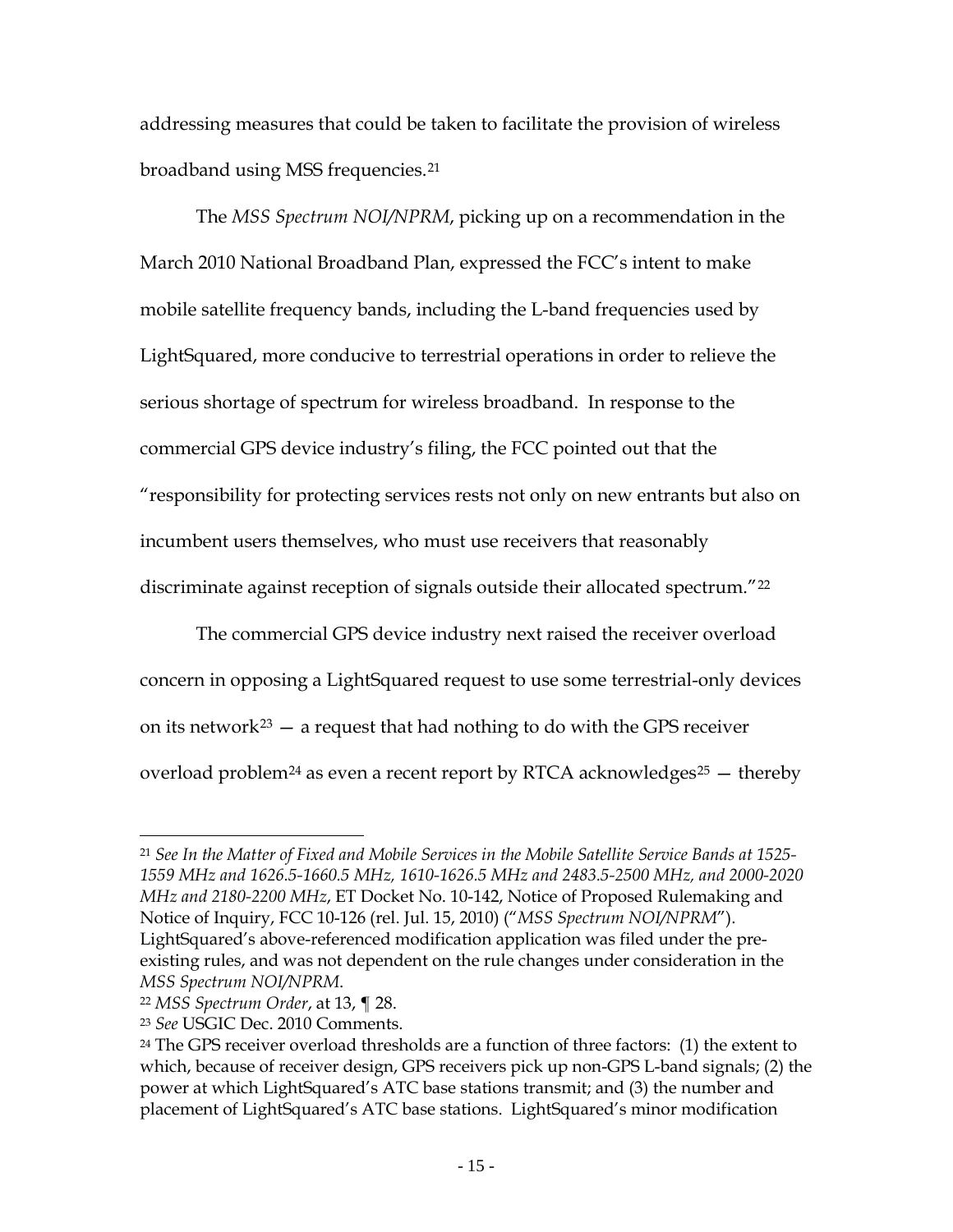GPS device industry already had recognized by that point, it needed to be prepared to co-exist with tens of thousands of LightSquared base stations.[18](#page-14-0)

In a 2001 filing on LightSquared's original terrestrial application, Deere & Company expressed concern about the potential receiver overload problem, but Deere did not pursue the issue in the ATC rulemaking proceeding or in LightSquared's 2004 ATC application proceeding. [19](#page-14-1) The issue was not raised again by the GPS industry until nine years later, in September [20](#page-14-2)10,<sup>20</sup> in a filing responding to an FCC Notice of Inquiry/Notice of Proposed Rulemaking

 $\overline{a}$ 

<span id="page-14-2"></span><span id="page-14-1"></span>At various times since raising the receiver overload issue late last year, commercial GPS manufacturers have claimed that they could not have foreseen any problem based on the original licensing and rulemaking process, which they claim they perceived to be for only a few thousand base stations that would operate at relatively low power, never mind the higher power levels that were approved first in 2005 and later in 2010 after an open FCC process including interagency consultation via NTIA and without any challenge at the time by the GPS industry. However, the analysis done by the TWG show that certain GPS receivers would overload if LightSquared were to operate in the upper 10 MHz channel even at this lower power and even if LightSquared deployed a few hundred base stations. Particularly given that aviation receivers are among the receivers that would have been affected by such a limited deployment, it is not plausible that the GPS manufacturers knew about this interference potential and were willing to accept it. The reality is that these manufacturers, despite being in the best position to understand the design and vulnerability of their receivers, failed to build receivers that would be compatible with LightSquared's planned operations and are now re-writing history in an attempt to deflect attention from such failures. <sup>19</sup> *See* Comments of Deere & Company, File Nos. SAT-ASG-20010302-00017 *et al*., at 6 (May 7, 2001) ("Deere 2001 Comments"). <sup>20</sup> USGIC Sep. 2010 Comments at 11-12.

<span id="page-14-0"></span><sup>&</sup>lt;sup>18</sup> In an FCC filing, USGIC stated that the limits it had agreed to with LightSquared in 2002 were necessary to protect GPS against "[t]he increased user density from potentially millions of MSS mobile terminals operating in ATC mode . . . [and] *potentially tens of thousands of ATC wireless base stations*." Reply Comments of USGIC, IB Docket No. 01-185, at 2 (Sep. 4, 2003) (emphasis added). *See also Fixed and Mobile Services in the Mobile Satellite Service Bands at 1525-1559 MHz and 1626.5-1660.5 MHz, 1610-1626.5 MHz and 2483.5-2500 MHz, and 2000-2020 MHz and 2180-2200 MHz,* ET Docket No. 10-142, Report and Order, FCC 11-57, *¶ 28* (rel. Apr. 6, 2011) ("*MSS Spectrum Order*") ("extensive terrestrial operations have been anticipated in the L-band for at least 8 years").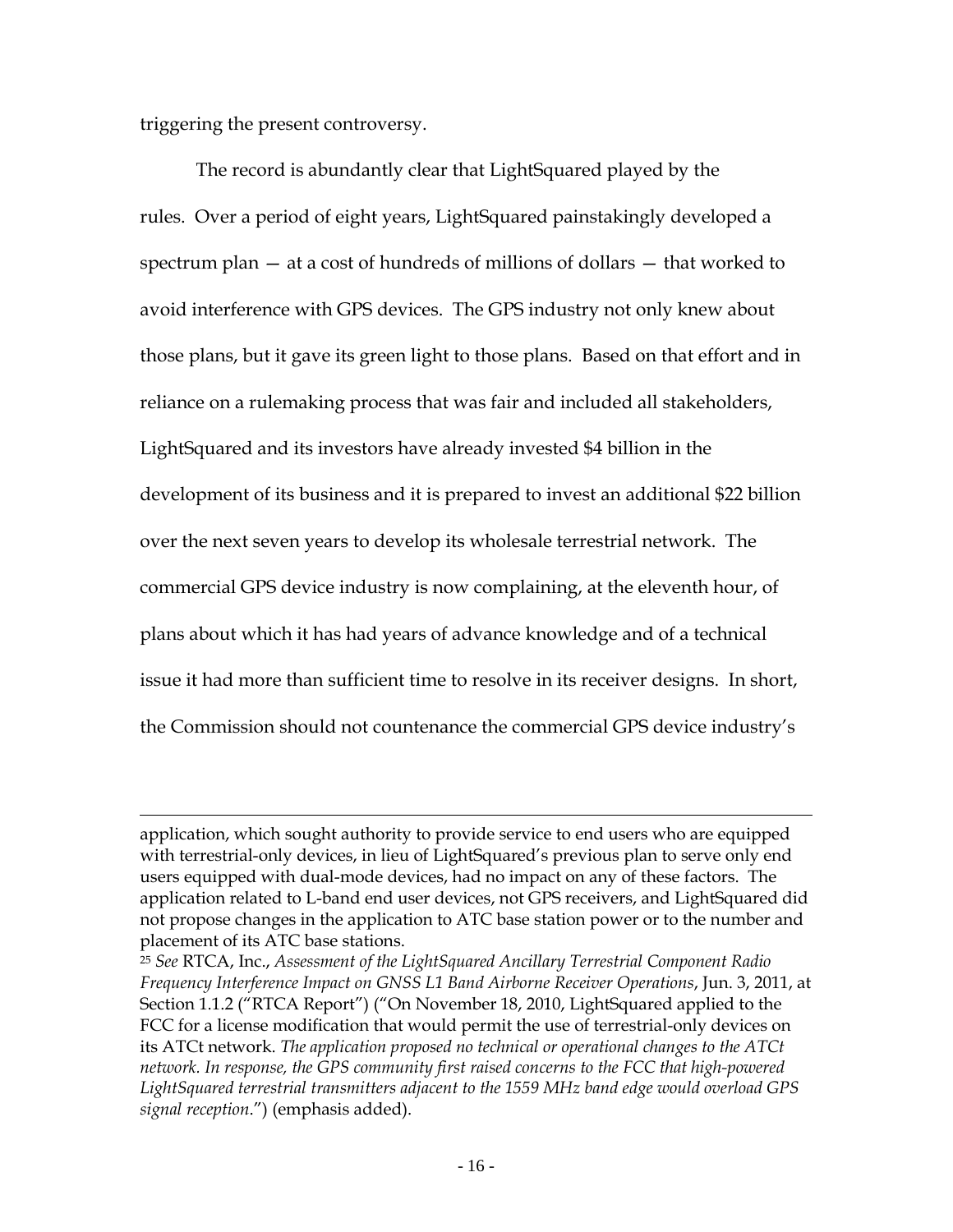addressing measures that could be taken to facilitate the provision of wireless broadband using MSS frequencies.[21](#page-15-0)

The *MSS Spectrum NOI/NPRM*, picking up on a recommendation in the March 2010 National Broadband Plan, expressed the FCC's intent to make mobile satellite frequency bands, including the L-band frequencies used by LightSquared, more conducive to terrestrial operations in order to relieve the serious shortage of spectrum for wireless broadband. In response to the commercial GPS device industry's filing, the FCC pointed out that the "responsibility for protecting services rests not only on new entrants but also on incumbent users themselves, who must use receivers that reasonably discriminate against reception of signals outside their allocated spectrum."[22](#page-15-1)

The commercial GPS device industry next raised the receiver overload concern in opposing a LightSquared request to use some terrestrial-only devices on its network<sup>[23](#page-15-2)</sup>  $-$  a request that had nothing to do with the GPS receiver overload problem<sup>[24](#page-15-3)</sup> as even a recent report by RTCA acknowledges<sup>[25](#page-15-4)</sup>  $-$  thereby

<span id="page-15-0"></span><sup>21</sup> *See In the Matter of Fixed and Mobile Services in the Mobile Satellite Service Bands at 1525- 1559 MHz and 1626.5-1660.5 MHz, 1610-1626.5 MHz and 2483.5-2500 MHz, and 2000-2020 MHz and 2180-2200 MHz*, ET Docket No. 10-142, Notice of Proposed Rulemaking and Notice of Inquiry, FCC 10-126 (rel. Jul. 15, 2010) ("*MSS Spectrum NOI/NPRM*"). LightSquared's above-referenced modification application was filed under the preexisting rules, and was not dependent on the rule changes under consideration in the *MSS Spectrum NOI/NPRM*.

<span id="page-15-4"></span><span id="page-15-1"></span><sup>22</sup> *MSS Spectrum Order*, at 13, ¶ 28.

<span id="page-15-2"></span><sup>23</sup> *See* USGIC Dec. 2010 Comments.

<span id="page-15-3"></span> $24$  The GPS receiver overload thresholds are a function of three factors:  $(1)$  the extent to which, because of receiver design, GPS receivers pick up non-GPS L-band signals; (2) the power at which LightSquared's ATC base stations transmit; and (3) the number and placement of LightSquared's ATC base stations. LightSquared's minor modification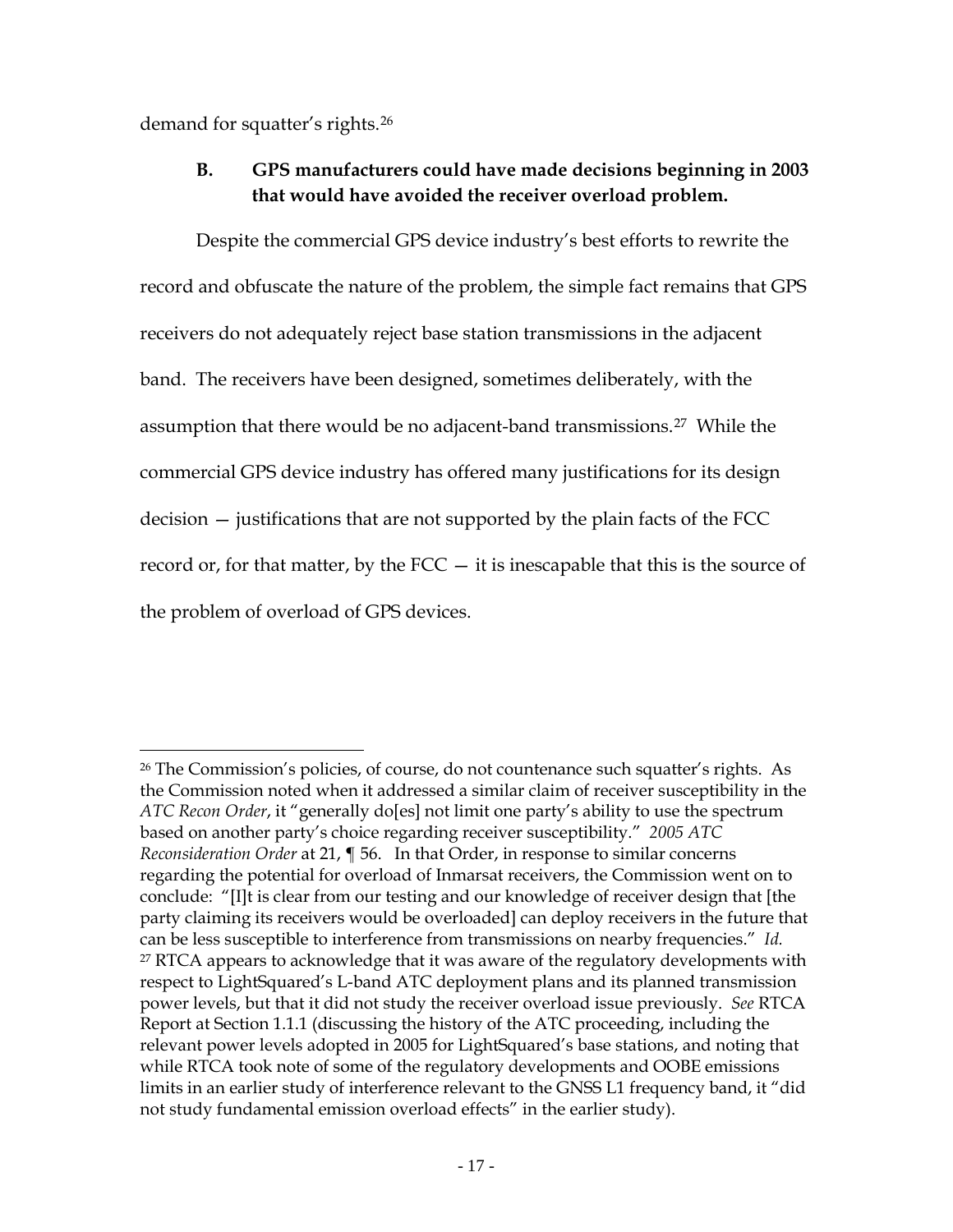triggering the present controversy.

 $\overline{a}$ 

The record is abundantly clear that LightSquared played by the rules. Over a period of eight years, LightSquared painstakingly developed a spectrum plan — at a cost of hundreds of millions of dollars — that worked to avoid interference with GPS devices. The GPS industry not only knew about those plans, but it gave its green light to those plans. Based on that effort and in reliance on a rulemaking process that was fair and included all stakeholders, LightSquared and its investors have already invested \$4 billion in the development of its business and it is prepared to invest an additional \$22 billion over the next seven years to develop its wholesale terrestrial network. The commercial GPS device industry is now complaining, at the eleventh hour, of plans about which it has had years of advance knowledge and of a technical issue it had more than sufficient time to resolve in its receiver designs. In short, the Commission should not countenance the commercial GPS device industry's

application, which sought authority to provide service to end users who are equipped with terrestrial-only devices, in lieu of LightSquared's previous plan to serve only end users equipped with dual-mode devices, had no impact on any of these factors. The application related to L-band end user devices, not GPS receivers, and LightSquared did not propose changes in the application to ATC base station power or to the number and placement of its ATC base stations.

<sup>25</sup> *See* RTCA, Inc., *Assessment of the LightSquared Ancillary Terrestrial Component Radio Frequency Interference Impact on GNSS L1 Band Airborne Receiver Operations*, Jun. 3, 2011, at Section 1.1.2 ("RTCA Report") ("On November 18, 2010, LightSquared applied to the FCC for a license modification that would permit the use of terrestrial-only devices on its ATCt network. *The application proposed no technical or operational changes to the ATCt network. In response, the GPS community first raised concerns to the FCC that high-powered LightSquared terrestrial transmitters adjacent to the 1559 MHz band edge would overload GPS signal reception*.") (emphasis added).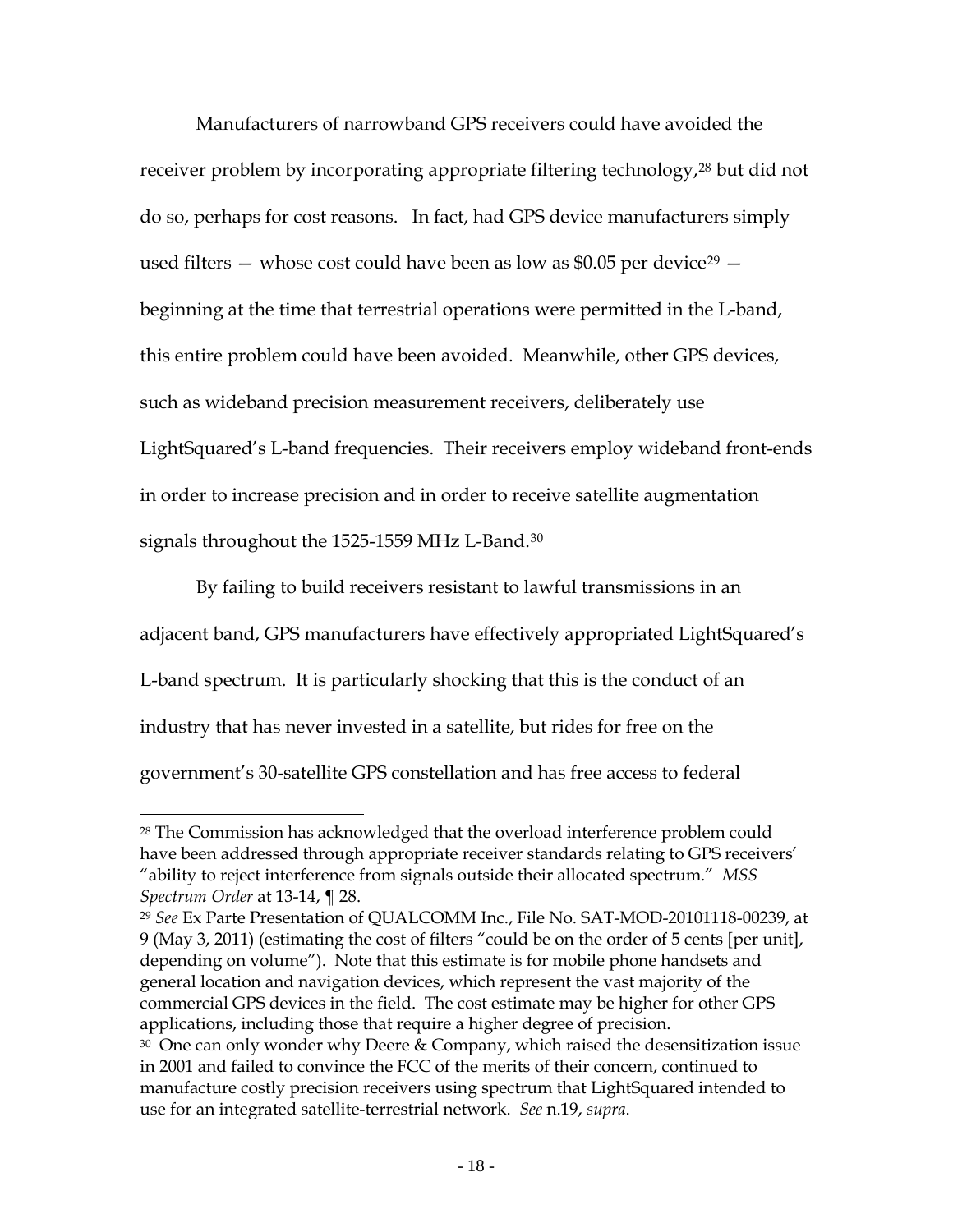demand for squatter's rights.[26](#page-17-0)

 $\overline{a}$ 

# **B. GPS manufacturers could have made decisions beginning in 2003 that would have avoided the receiver overload problem.**

Despite the commercial GPS device industry's best efforts to rewrite the record and obfuscate the nature of the problem, the simple fact remains that GPS receivers do not adequately reject base station transmissions in the adjacent band. The receivers have been designed, sometimes deliberately, with the assumption that there would be no adjacent-band transmissions.[27](#page-17-1) While the commercial GPS device industry has offered many justifications for its design decision — justifications that are not supported by the plain facts of the FCC record or, for that matter, by the  $FCC - it$  is inescapable that this is the source of the problem of overload of GPS devices.

<span id="page-17-1"></span><span id="page-17-0"></span><sup>&</sup>lt;sup>26</sup> The Commission's policies, of course, do not countenance such squatter's rights. As the Commission noted when it addressed a similar claim of receiver susceptibility in the *ATC Recon Order*, it "generally do[es] not limit one party's ability to use the spectrum based on another party's choice regarding receiver susceptibility." *2005 ATC Reconsideration Order* at 21, ¶ 56. In that Order, in response to similar concerns regarding the potential for overload of Inmarsat receivers, the Commission went on to conclude: "[I]t is clear from our testing and our knowledge of receiver design that [the party claiming its receivers would be overloaded] can deploy receivers in the future that can be less susceptible to interference from transmissions on nearby frequencies." *Id.* <sup>27</sup> RTCA appears to acknowledge that it was aware of the regulatory developments with respect to LightSquared's L-band ATC deployment plans and its planned transmission power levels, but that it did not study the receiver overload issue previously. *See* RTCA Report at Section 1.1.1 (discussing the history of the ATC proceeding, including the relevant power levels adopted in 2005 for LightSquared's base stations, and noting that while RTCA took note of some of the regulatory developments and OOBE emissions limits in an earlier study of interference relevant to the GNSS L1 frequency band, it "did not study fundamental emission overload effects" in the earlier study).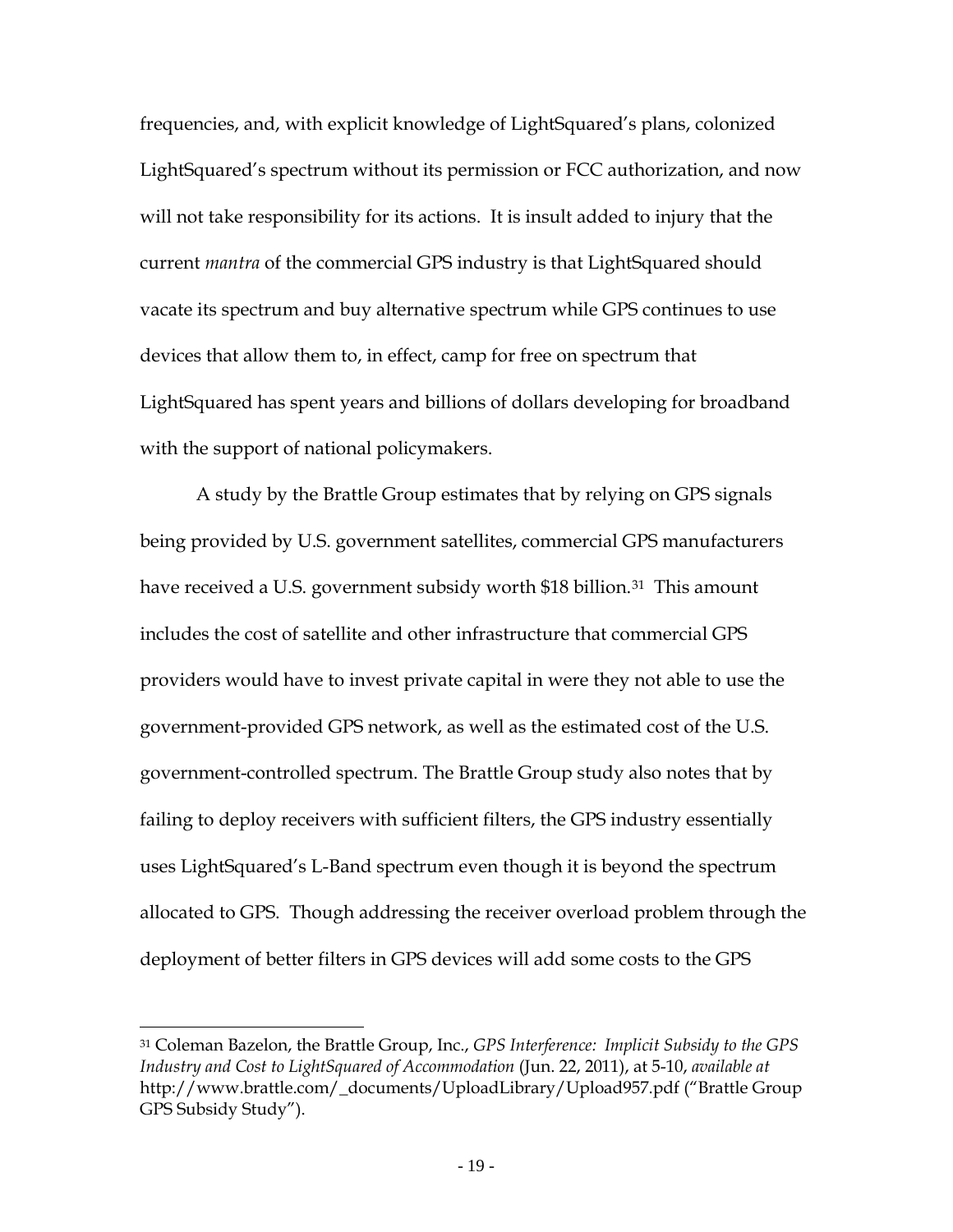Manufacturers of narrowband GPS receivers could have avoided the receiver problem by incorporating appropriate filtering technology,<sup>[28](#page-18-0)</sup> but did not do so, perhaps for cost reasons. In fact, had GPS device manufacturers simply used filters  $-$  whose cost could have been as low as \$0.05 per device<sup>[29](#page-18-1)</sup>  $$ beginning at the time that terrestrial operations were permitted in the L-band, this entire problem could have been avoided. Meanwhile, other GPS devices, such as wideband precision measurement receivers, deliberately use LightSquared's L-band frequencies. Their receivers employ wideband front-ends in order to increase precision and in order to receive satellite augmentation signals throughout the 1525-1559 MHz L-Band.[30](#page-18-2)

By failing to build receivers resistant to lawful transmissions in an adjacent band, GPS manufacturers have effectively appropriated LightSquared's L-band spectrum. It is particularly shocking that this is the conduct of an industry that has never invested in a satellite, but rides for free on the government's 30-satellite GPS constellation and has free access to federal

<span id="page-18-0"></span><sup>28</sup> The Commission has acknowledged that the overload interference problem could have been addressed through appropriate receiver standards relating to GPS receivers' "ability to reject interference from signals outside their allocated spectrum." *MSS Spectrum Order* at 13-14, ¶ 28.

<span id="page-18-1"></span><sup>29</sup> *See* Ex Parte Presentation of QUALCOMM Inc., File No. SAT-MOD-20101118-00239, at 9 (May 3, 2011) (estimating the cost of filters "could be on the order of 5 cents [per unit], depending on volume"). Note that this estimate is for mobile phone handsets and general location and navigation devices, which represent the vast majority of the commercial GPS devices in the field. The cost estimate may be higher for other GPS applications, including those that require a higher degree of precision.

<span id="page-18-2"></span> $30$  One can only wonder why Deere & Company, which raised the desensitization issue in 2001 and failed to convince the FCC of the merits of their concern, continued to manufacture costly precision receivers using spectrum that LightSquared intended to use for an integrated satellite-terrestrial network. *See* n.19, *supra*.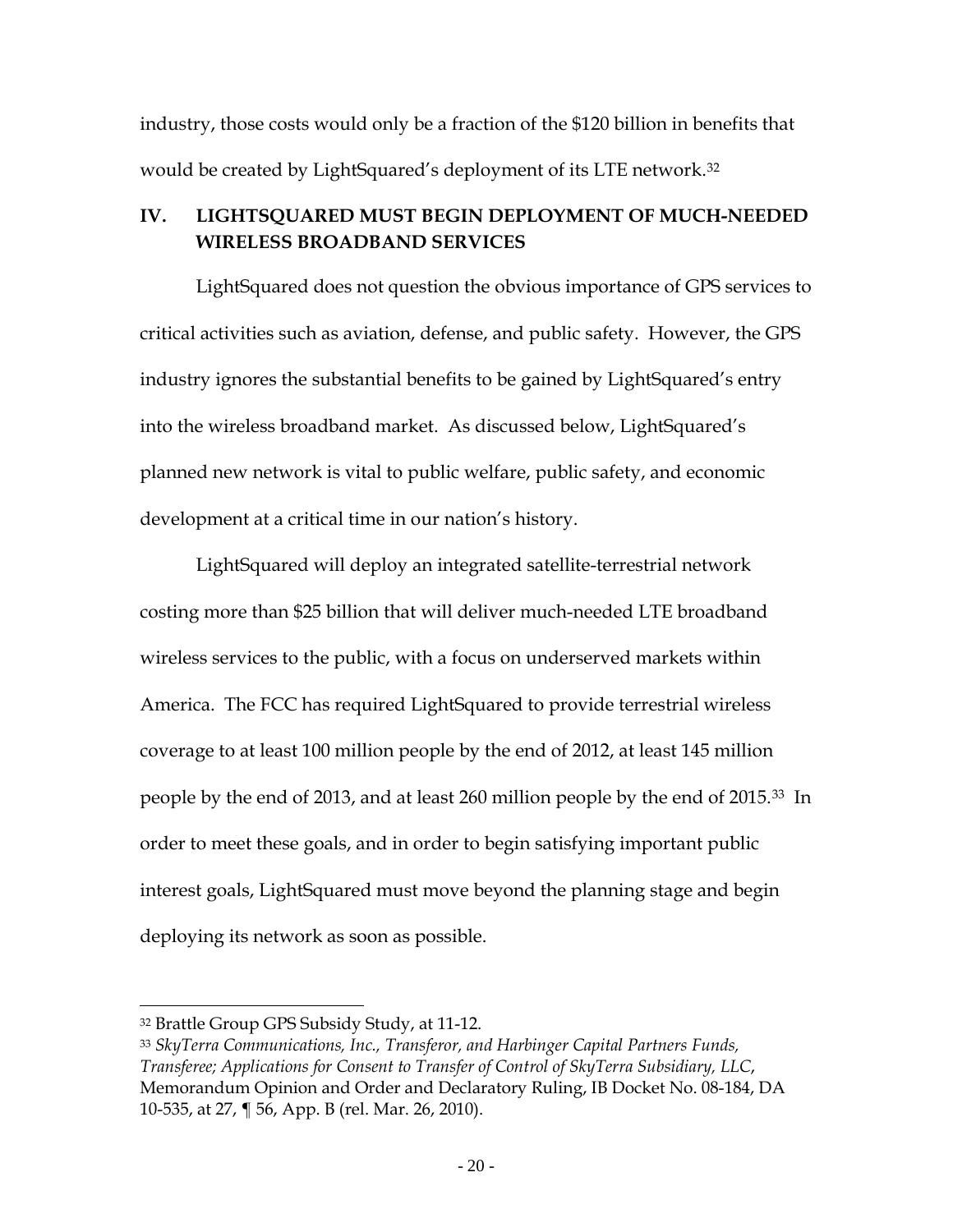frequencies, and, with explicit knowledge of LightSquared's plans, colonized LightSquared's spectrum without its permission or FCC authorization, and now will not take responsibility for its actions. It is insult added to injury that the current *mantra* of the commercial GPS industry is that LightSquared should vacate its spectrum and buy alternative spectrum while GPS continues to use devices that allow them to, in effect, camp for free on spectrum that LightSquared has spent years and billions of dollars developing for broadband with the support of national policymakers.

A study by the Brattle Group estimates that by relying on GPS signals being provided by U.S. government satellites, commercial GPS manufacturers have received a U.S. government subsidy worth \$18 billion.<sup>[31](#page-19-0)</sup> This amount includes the cost of satellite and other infrastructure that commercial GPS providers would have to invest private capital in were they not able to use the government-provided GPS network, as well as the estimated cost of the U.S. government-controlled spectrum. The Brattle Group study also notes that by failing to deploy receivers with sufficient filters, the GPS industry essentially uses LightSquared's L-Band spectrum even though it is beyond the spectrum allocated to GPS. Though addressing the receiver overload problem through the deployment of better filters in GPS devices will add some costs to the GPS

<span id="page-19-0"></span><sup>31</sup> Coleman Bazelon, the Brattle Group, Inc., *GPS Interference: Implicit Subsidy to the GPS Industry and Cost to LightSquared of Accommodation* (Jun. 22, 2011), at 5-10, *available at* http://www.brattle.com/\_documents/UploadLibrary/Upload957.pdf ("Brattle Group GPS Subsidy Study").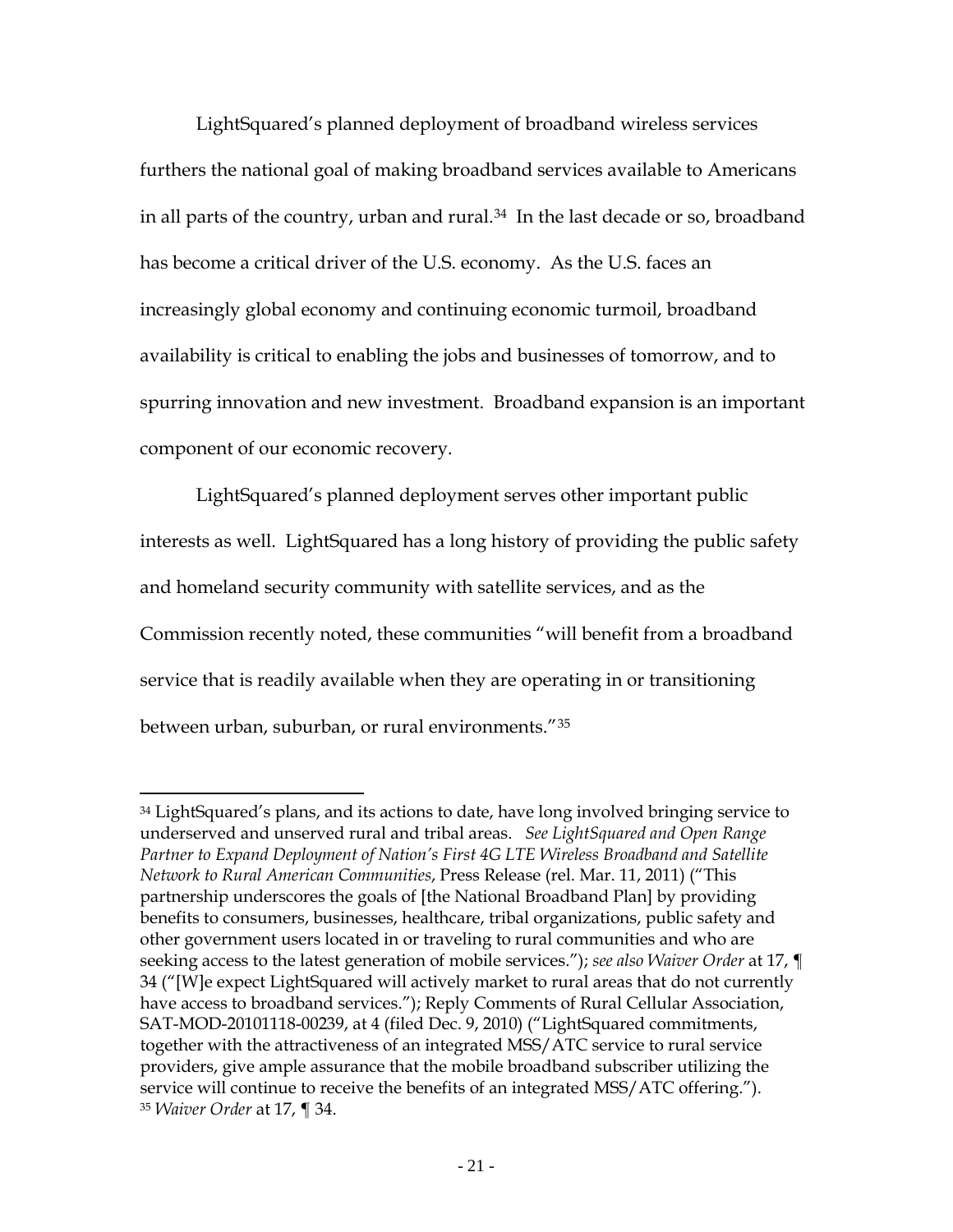industry, those costs would only be a fraction of the \$120 billion in benefits that would be created by LightSquared's deployment of its LTE network[.32](#page-20-0)

# **IV. LIGHTSQUARED MUST BEGIN DEPLOYMENT OF MUCH-NEEDED WIRELESS BROADBAND SERVICES**

LightSquared does not question the obvious importance of GPS services to critical activities such as aviation, defense, and public safety. However, the GPS industry ignores the substantial benefits to be gained by LightSquared's entry into the wireless broadband market. As discussed below, LightSquared's planned new network is vital to public welfare, public safety, and economic development at a critical time in our nation's history.

LightSquared will deploy an integrated satellite-terrestrial network costing more than \$25 billion that will deliver much-needed LTE broadband wireless services to the public, with a focus on underserved markets within America. The FCC has required LightSquared to provide terrestrial wireless coverage to at least 100 million people by the end of 2012, at least 145 million people by the end of 2013, and at least 260 million people by the end of 2015.[33](#page-20-1) In order to meet these goals, and in order to begin satisfying important public interest goals, LightSquared must move beyond the planning stage and begin deploying its network as soon as possible.

<span id="page-20-0"></span><sup>32</sup> Brattle Group GPS Subsidy Study, at 11-12.

<span id="page-20-1"></span><sup>33</sup> *SkyTerra Communications, Inc., Transferor, and Harbinger Capital Partners Funds, Transferee; Applications for Consent to Transfer of Control of SkyTerra Subsidiary, LLC*, Memorandum Opinion and Order and Declaratory Ruling, IB Docket No. 08-184, DA 10-535, at 27, ¶ 56, App. B (rel. Mar. 26, 2010).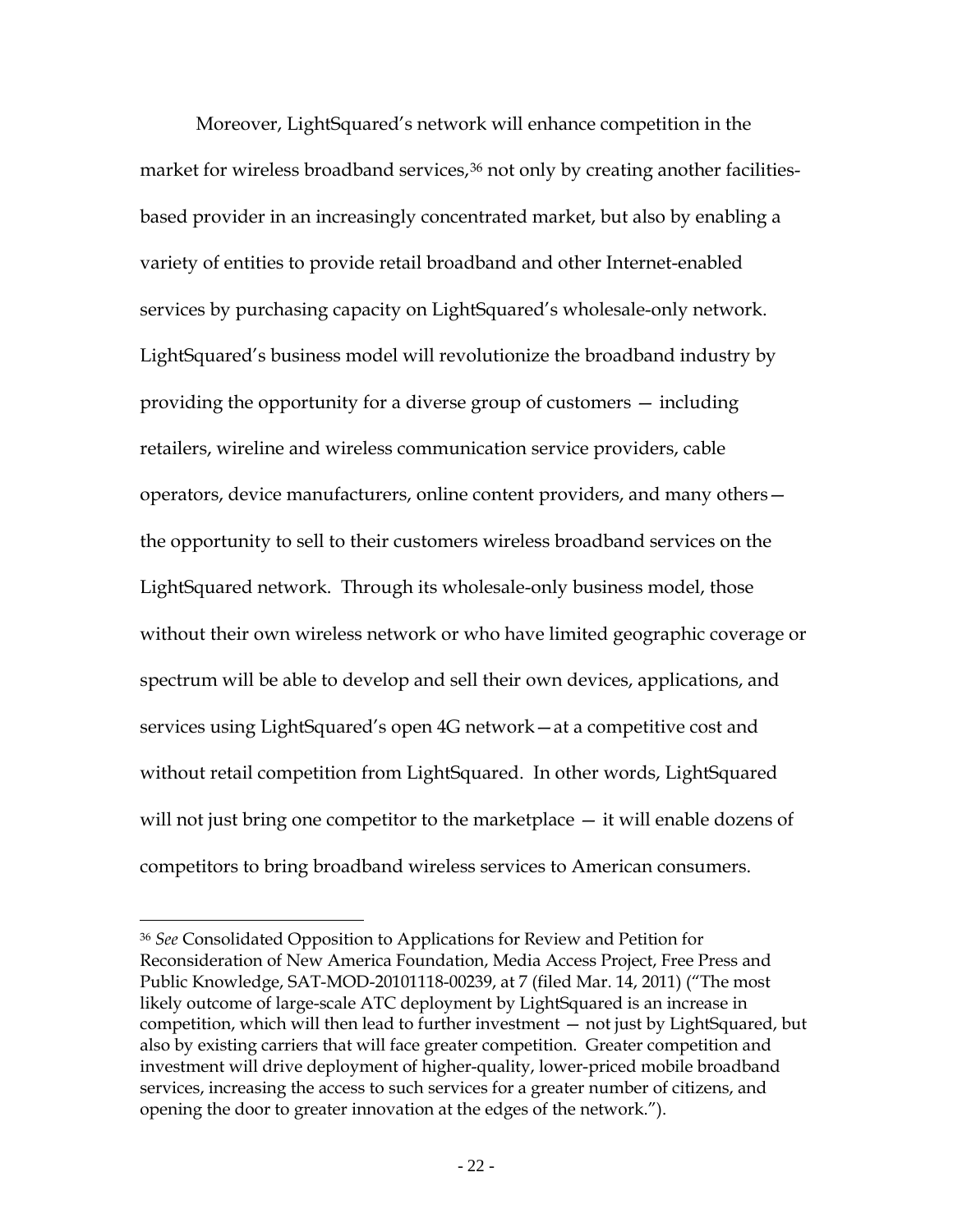LightSquared's planned deployment of broadband wireless services furthers the national goal of making broadband services available to Americans in all parts of the country, urban and rural.<sup>[34](#page-21-0)</sup> In the last decade or so, broadband has become a critical driver of the U.S. economy. As the U.S. faces an increasingly global economy and continuing economic turmoil, broadband availability is critical to enabling the jobs and businesses of tomorrow, and to spurring innovation and new investment. Broadband expansion is an important component of our economic recovery.

LightSquared's planned deployment serves other important public interests as well. LightSquared has a long history of providing the public safety and homeland security community with satellite services, and as the Commission recently noted, these communities "will benefit from a broadband service that is readily available when they are operating in or transitioning between urban, suburban, or rural environments." [35](#page-21-1)

<span id="page-21-1"></span><span id="page-21-0"></span><sup>&</sup>lt;sup>34</sup> LightSquared's plans, and its actions to date, have long involved bringing service to underserved and unserved rural and tribal areas. *See LightSquared and Open Range Partner to Expand Deployment of Nation's First 4G LTE Wireless Broadband and Satellite Network to Rural American Communities*, Press Release (rel. Mar. 11, 2011) ("This partnership underscores the goals of [the National Broadband Plan] by providing benefits to consumers, businesses, healthcare, tribal organizations, public safety and other government users located in or traveling to rural communities and who are seeking access to the latest generation of mobile services."); *see also Waiver Order* at 17, ¶ 34 ("[W]e expect LightSquared will actively market to rural areas that do not currently have access to broadband services."); Reply Comments of Rural Cellular Association, SAT-MOD-20101118-00239, at 4 (filed Dec. 9, 2010) ("LightSquared commitments, together with the attractiveness of an integrated MSS/ATC service to rural service providers, give ample assurance that the mobile broadband subscriber utilizing the service will continue to receive the benefits of an integrated MSS/ATC offering."). <sup>35</sup> *Waiver Order* at 17, ¶ 34.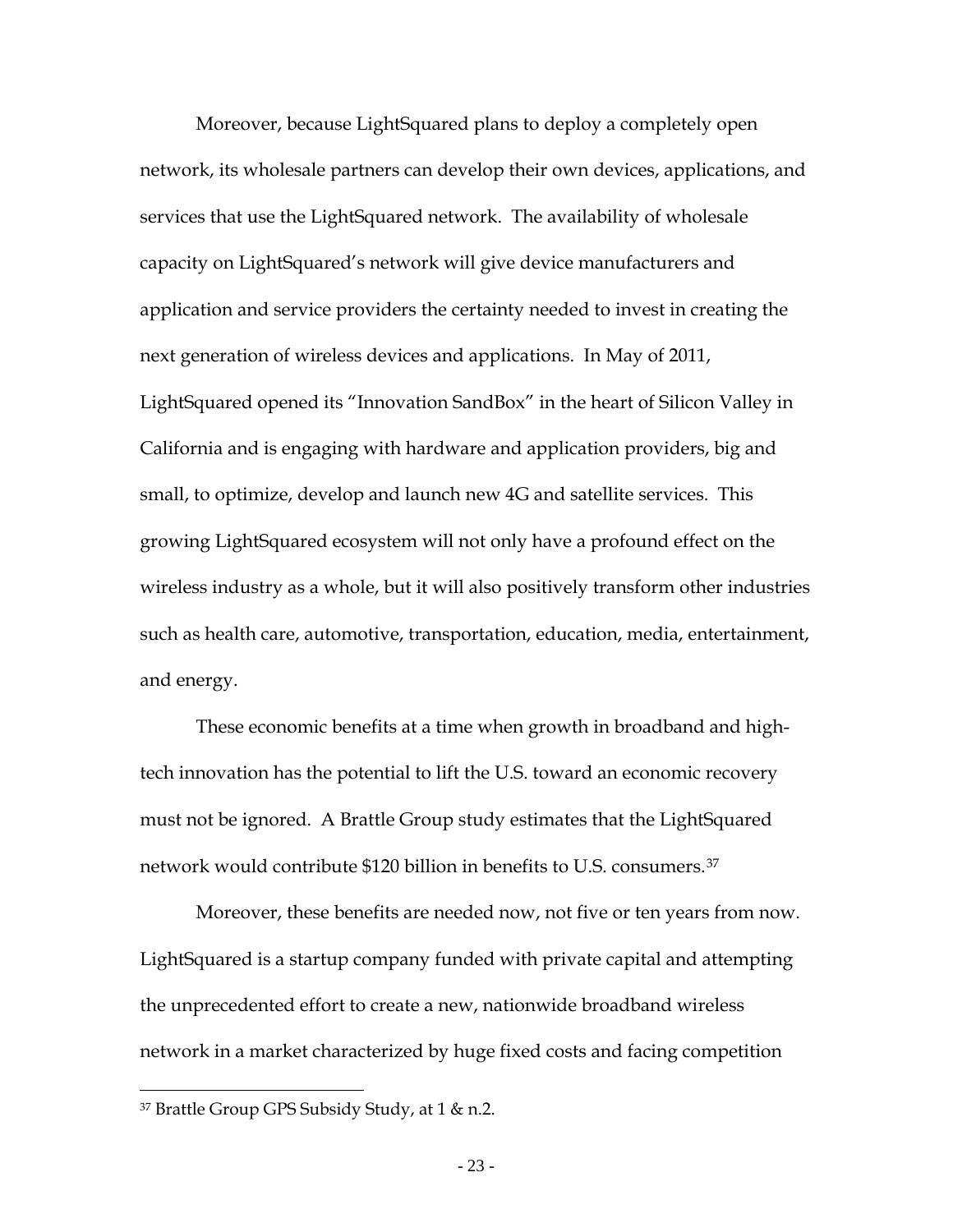Moreover, LightSquared's network will enhance competition in the market for wireless broadband services,<sup>[36](#page-22-0)</sup> not only by creating another facilitiesbased provider in an increasingly concentrated market, but also by enabling a variety of entities to provide retail broadband and other Internet-enabled services by purchasing capacity on LightSquared's wholesale-only network. LightSquared's business model will revolutionize the broadband industry by providing the opportunity for a diverse group of customers — including retailers, wireline and wireless communication service providers, cable operators, device manufacturers, online content providers, and many others the opportunity to sell to their customers wireless broadband services on the LightSquared network. Through its wholesale-only business model, those without their own wireless network or who have limited geographic coverage or spectrum will be able to develop and sell their own devices, applications, and services using LightSquared's open 4G network—at a competitive cost and without retail competition from LightSquared. In other words, LightSquared will not just bring one competitor to the marketplace  $-$  it will enable dozens of competitors to bring broadband wireless services to American consumers.

<span id="page-22-0"></span><sup>36</sup> *See* Consolidated Opposition to Applications for Review and Petition for Reconsideration of New America Foundation, Media Access Project, Free Press and Public Knowledge, SAT-MOD-20101118-00239, at 7 (filed Mar. 14, 2011) ("The most likely outcome of large-scale ATC deployment by LightSquared is an increase in competition, which will then lead to further investment — not just by LightSquared, but also by existing carriers that will face greater competition. Greater competition and investment will drive deployment of higher-quality, lower-priced mobile broadband services, increasing the access to such services for a greater number of citizens, and opening the door to greater innovation at the edges of the network.").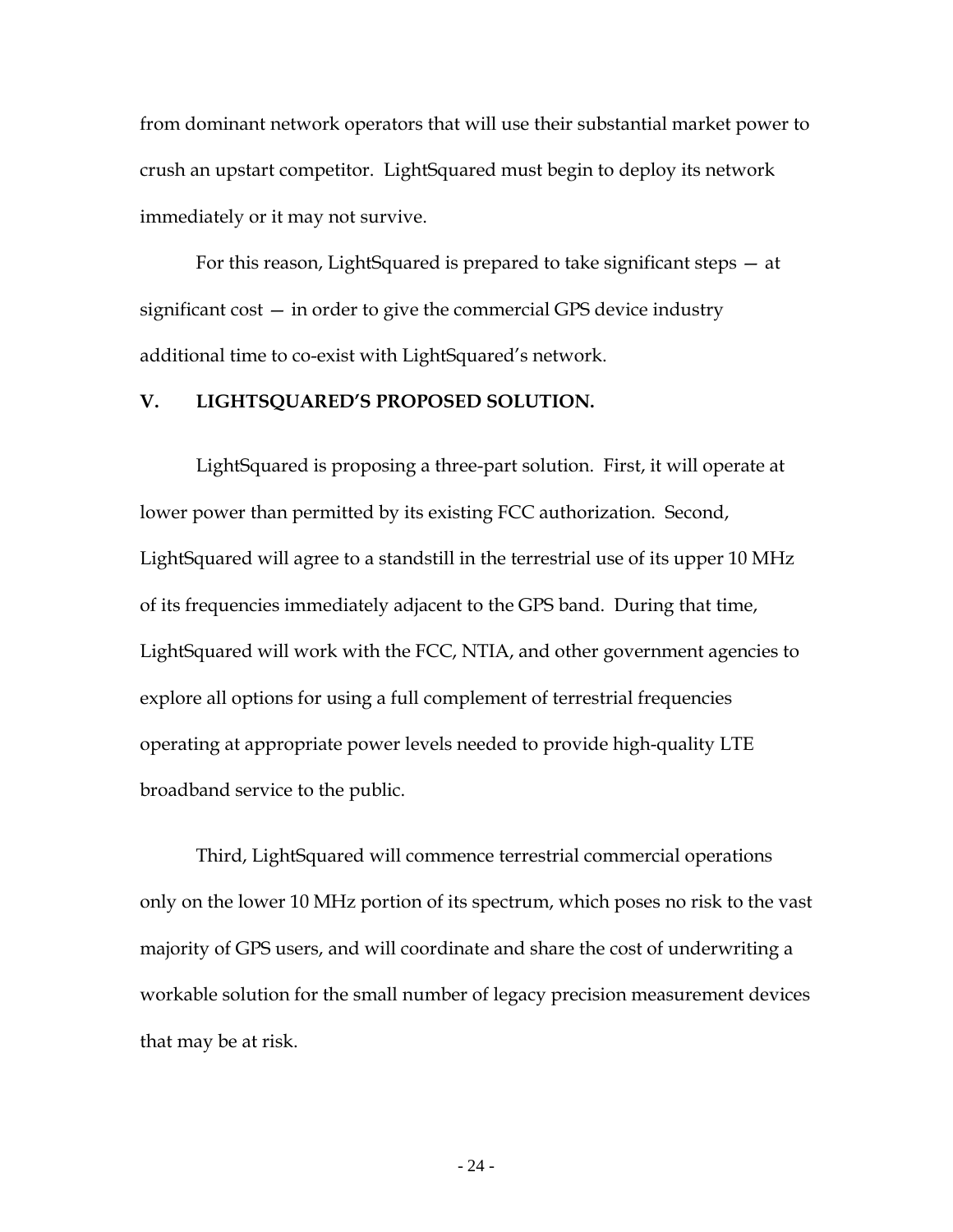Moreover, because LightSquared plans to deploy a completely open network, its wholesale partners can develop their own devices, applications, and services that use the LightSquared network. The availability of wholesale capacity on LightSquared's network will give device manufacturers and application and service providers the certainty needed to invest in creating the next generation of wireless devices and applications. In May of 2011, LightSquared opened its "Innovation SandBox" in the heart of Silicon Valley in California and is engaging with hardware and application providers, big and small, to optimize, develop and launch new 4G and satellite services. This growing LightSquared ecosystem will not only have a profound effect on the wireless industry as a whole, but it will also positively transform other industries such as health care, automotive, transportation, education, media, entertainment, and energy.

These economic benefits at a time when growth in broadband and hightech innovation has the potential to lift the U.S. toward an economic recovery must not be ignored. A Brattle Group study estimates that the LightSquared network would contribute \$120 billion in benefits to U.S. consumers.[37](#page-23-0)

Moreover, these benefits are needed now, not five or ten years from now. LightSquared is a startup company funded with private capital and attempting the unprecedented effort to create a new, nationwide broadband wireless network in a market characterized by huge fixed costs and facing competition

<span id="page-23-0"></span><sup>37</sup> Brattle Group GPS Subsidy Study, at 1 & n.2.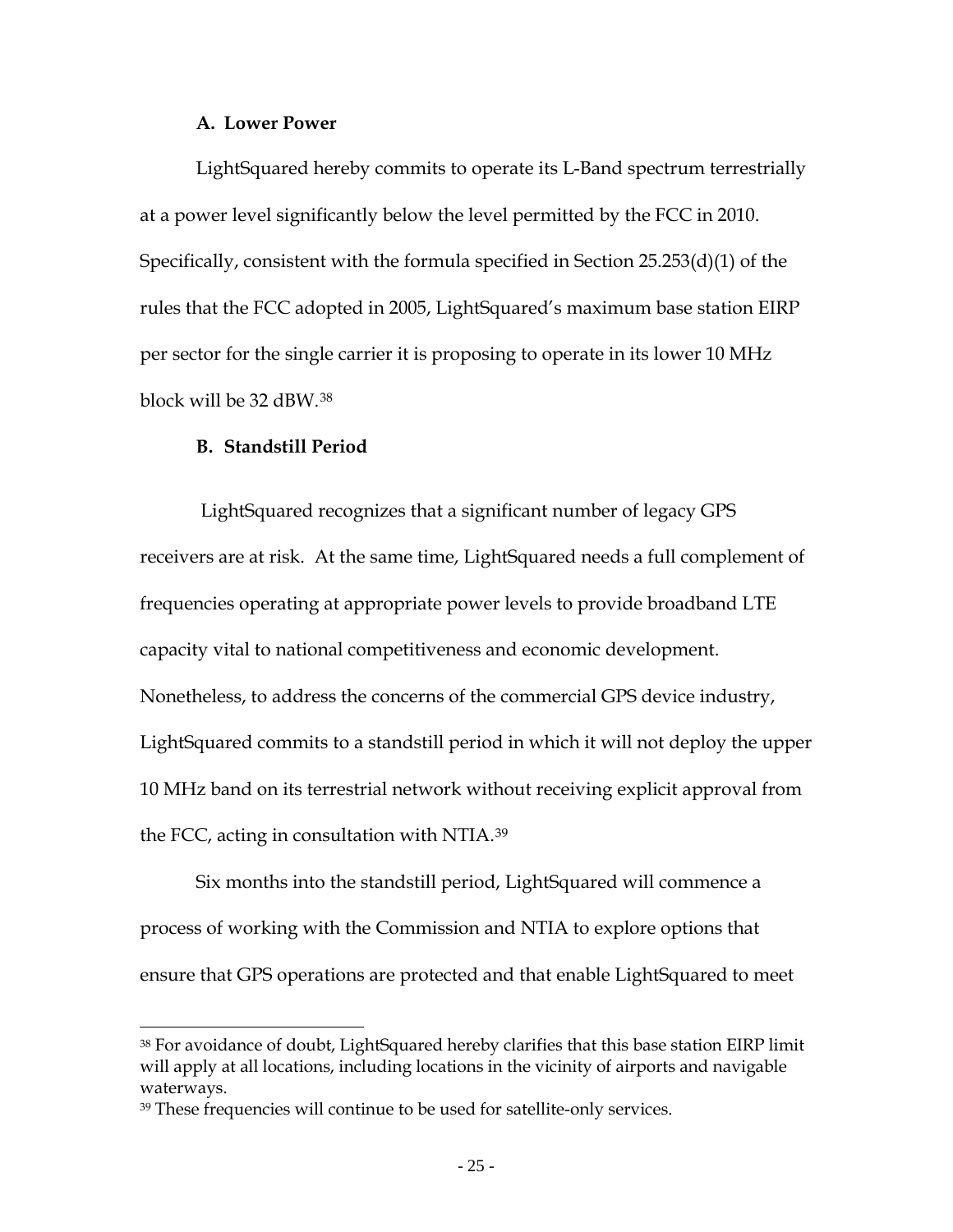from dominant network operators that will use their substantial market power to crush an upstart competitor. LightSquared must begin to deploy its network immediately or it may not survive.

For this reason, LightSquared is prepared to take significant steps — at significant cost — in order to give the commercial GPS device industry additional time to co-exist with LightSquared's network.

## **V. LIGHTSQUARED'S PROPOSED SOLUTION.**

LightSquared is proposing a three-part solution. First, it will operate at lower power than permitted by its existing FCC authorization. Second, LightSquared will agree to a standstill in the terrestrial use of its upper 10 MHz of its frequencies immediately adjacent to the GPS band. During that time, LightSquared will work with the FCC, NTIA, and other government agencies to explore all options for using a full complement of terrestrial frequencies operating at appropriate power levels needed to provide high-quality LTE broadband service to the public.

Third, LightSquared will commence terrestrial commercial operations only on the lower 10 MHz portion of its spectrum, which poses no risk to the vast majority of GPS users, and will coordinate and share the cost of underwriting a workable solution for the small number of legacy precision measurement devices that may be at risk.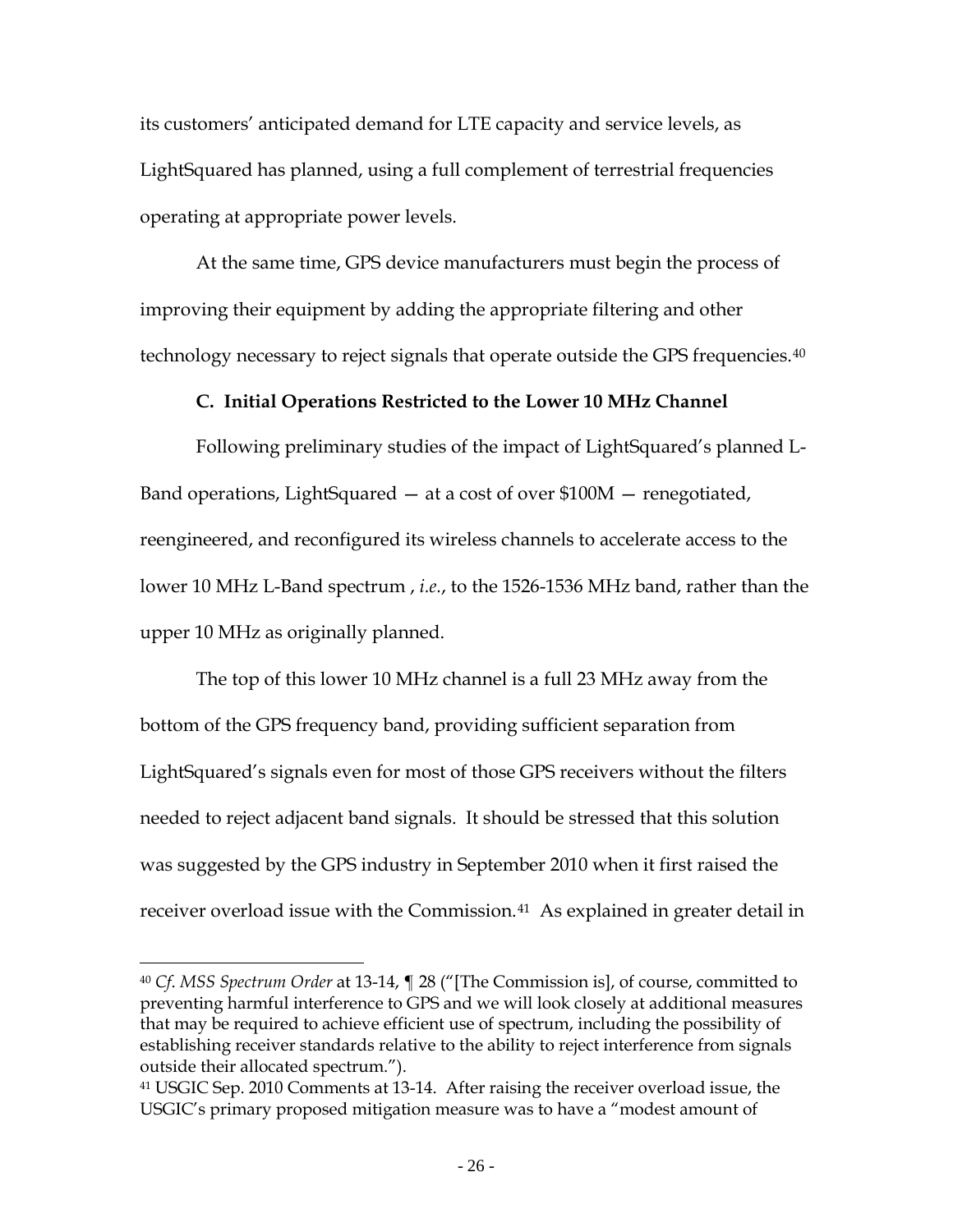#### **A. Lower Power**

LightSquared hereby commits to operate its L-Band spectrum terrestrially at a power level significantly below the level permitted by the FCC in 2010. Specifically, consistent with the formula specified in Section 25.253(d)(1) of the rules that the FCC adopted in 2005, LightSquared's maximum base station EIRP per sector for the single carrier it is proposing to operate in its lower 10 MHz block will be 32 dBW.[38](#page-25-0)

#### **B. Standstill Period**

 $\overline{a}$ 

LightSquared recognizes that a significant number of legacy GPS receivers are at risk. At the same time, LightSquared needs a full complement of frequencies operating at appropriate power levels to provide broadband LTE capacity vital to national competitiveness and economic development. Nonetheless, to address the concerns of the commercial GPS device industry, LightSquared commits to a standstill period in which it will not deploy the upper 10 MHz band on its terrestrial network without receiving explicit approval from the FCC, acting in consultation with NTIA.<sup>[39](#page-25-1)</sup>

Six months into the standstill period, LightSquared will commence a process of working with the Commission and NTIA to explore options that ensure that GPS operations are protected and that enable LightSquared to meet

<span id="page-25-0"></span><sup>38</sup> For avoidance of doubt, LightSquared hereby clarifies that this base station EIRP limit will apply at all locations, including locations in the vicinity of airports and navigable waterways.

<span id="page-25-1"></span><sup>39</sup> These frequencies will continue to be used for satellite-only services.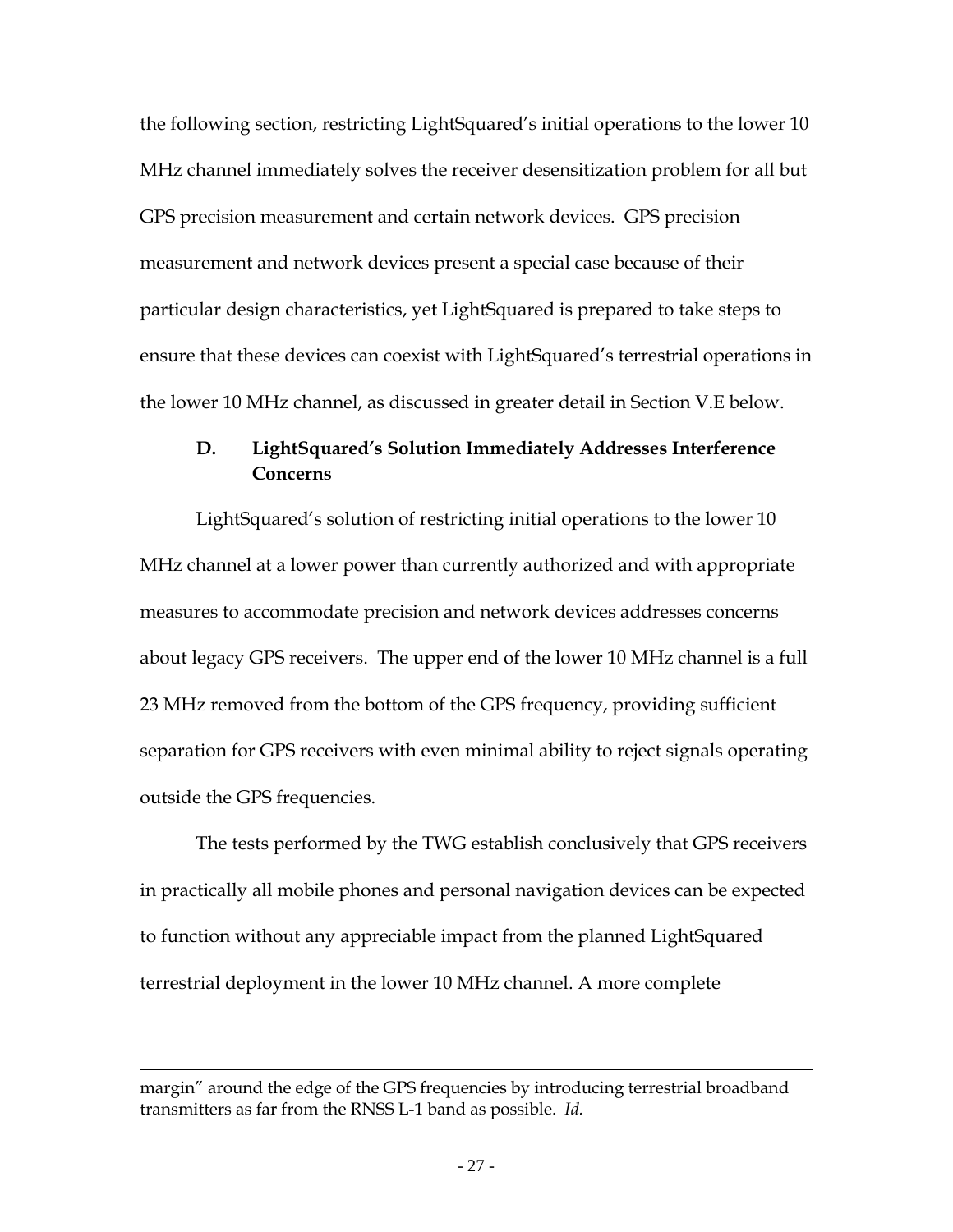its customers' anticipated demand for LTE capacity and service levels, as LightSquared has planned, using a full complement of terrestrial frequencies operating at appropriate power levels.

At the same time, GPS device manufacturers must begin the process of improving their equipment by adding the appropriate filtering and other technology necessary to reject signals that operate outside the GPS frequencies.[40](#page-26-0)

## **C. Initial Operations Restricted to the Lower 10 MHz Channel**

Following preliminary studies of the impact of LightSquared's planned L-Band operations, LightSquared — at a cost of over \$100M — renegotiated, reengineered, and reconfigured its wireless channels to accelerate access to the lower 10 MHz L-Band spectrum , *i.e.*, to the 1526-1536 MHz band, rather than the upper 10 MHz as originally planned.

The top of this lower 10 MHz channel is a full 23 MHz away from the bottom of the GPS frequency band, providing sufficient separation from LightSquared's signals even for most of those GPS receivers without the filters needed to reject adjacent band signals. It should be stressed that this solution was suggested by the GPS industry in September 2010 when it first raised the receiver overload issue with the Commission.<sup>[41](#page-26-1)</sup> As explained in greater detail in

<span id="page-26-0"></span><sup>40</sup> *Cf*. *MSS Spectrum Order* at 13-14, ¶ 28 ("[The Commission is], of course, committed to preventing harmful interference to GPS and we will look closely at additional measures that may be required to achieve efficient use of spectrum, including the possibility of establishing receiver standards relative to the ability to reject interference from signals outside their allocated spectrum.").

<span id="page-26-1"></span><sup>41</sup> USGIC Sep. 2010 Comments at 13-14. After raising the receiver overload issue, the USGIC's primary proposed mitigation measure was to have a "modest amount of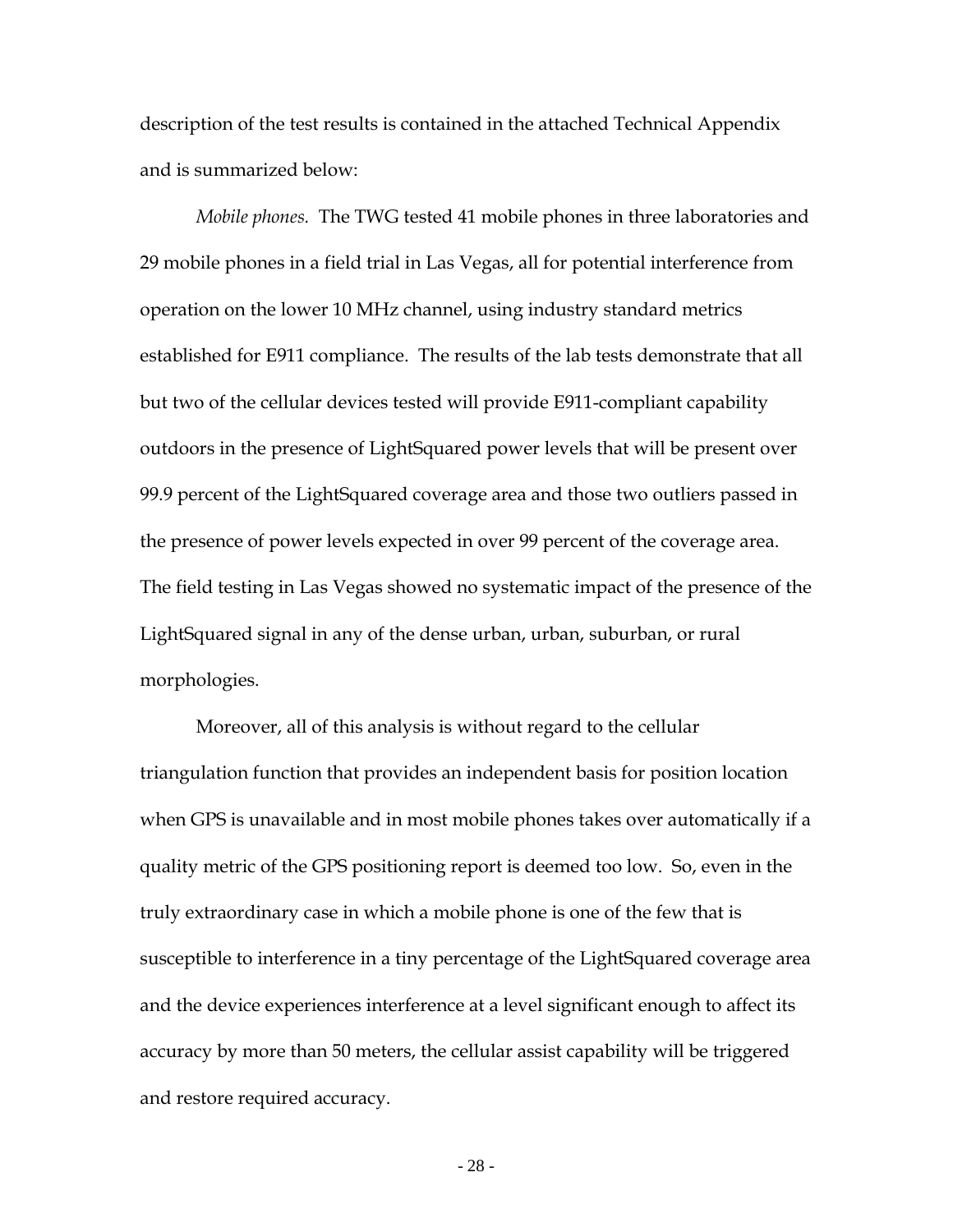the following section, restricting LightSquared's initial operations to the lower 10 MHz channel immediately solves the receiver desensitization problem for all but GPS precision measurement and certain network devices. GPS precision measurement and network devices present a special case because of their particular design characteristics, yet LightSquared is prepared to take steps to ensure that these devices can coexist with LightSquared's terrestrial operations in the lower 10 MHz channel, as discussed in greater detail in Section V.E below.

# **D. LightSquared's Solution Immediately Addresses Interference Concerns**

LightSquared's solution of restricting initial operations to the lower 10 MHz channel at a lower power than currently authorized and with appropriate measures to accommodate precision and network devices addresses concerns about legacy GPS receivers. The upper end of the lower 10 MHz channel is a full 23 MHz removed from the bottom of the GPS frequency, providing sufficient separation for GPS receivers with even minimal ability to reject signals operating outside the GPS frequencies.

The tests performed by the TWG establish conclusively that GPS receivers in practically all mobile phones and personal navigation devices can be expected to function without any appreciable impact from the planned LightSquared terrestrial deployment in the lower 10 MHz channel. A more complete

margin" around the edge of the GPS frequencies by introducing terrestrial broadband transmitters as far from the RNSS L-1 band as possible. *Id.*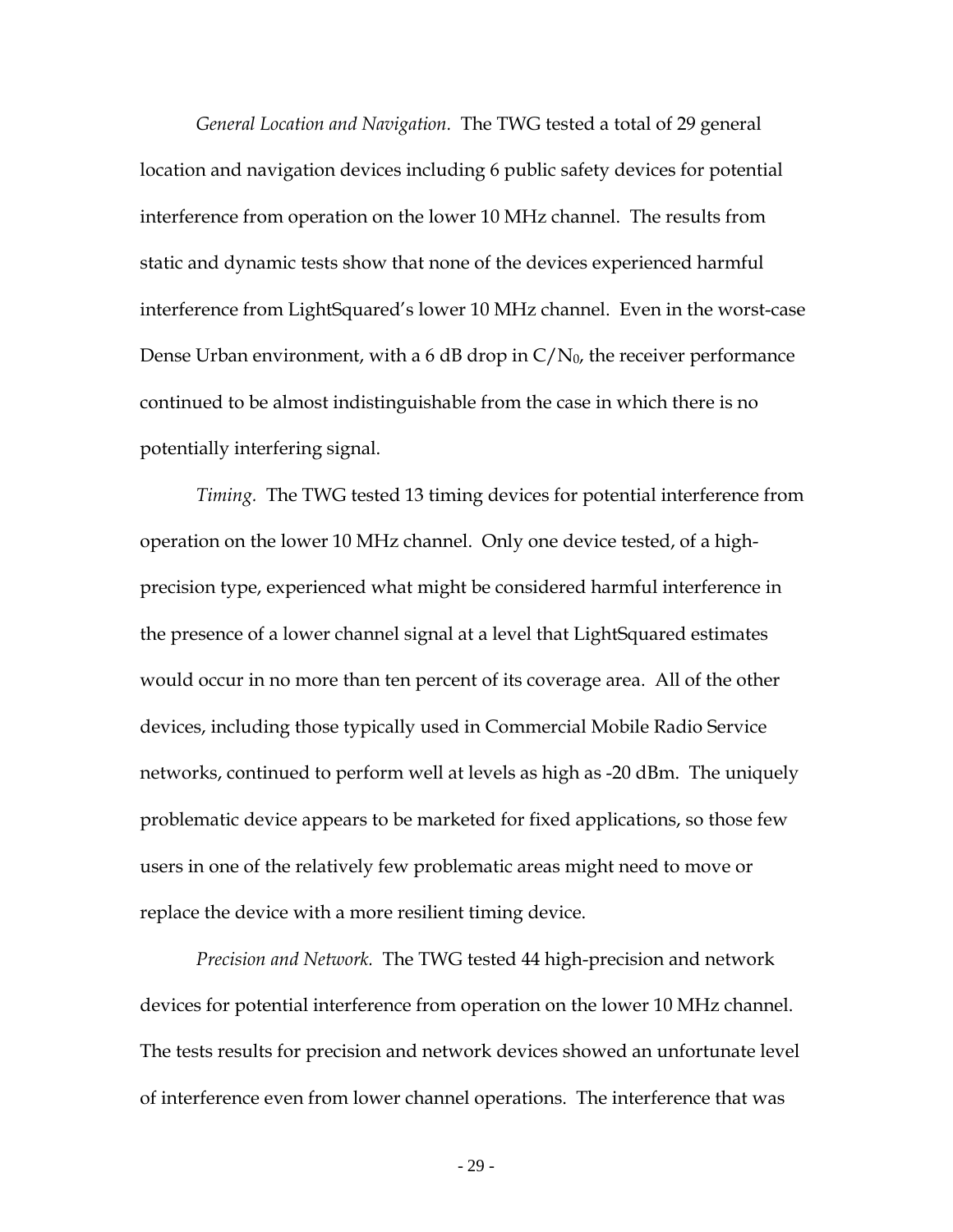description of the test results is contained in the attached Technical Appendix and is summarized below:

*Mobile phones.* The TWG tested 41 mobile phones in three laboratories and 29 mobile phones in a field trial in Las Vegas, all for potential interference from operation on the lower 10 MHz channel, using industry standard metrics established for E911 compliance. The results of the lab tests demonstrate that all but two of the cellular devices tested will provide E911-compliant capability outdoors in the presence of LightSquared power levels that will be present over 99.9 percent of the LightSquared coverage area and those two outliers passed in the presence of power levels expected in over 99 percent of the coverage area. The field testing in Las Vegas showed no systematic impact of the presence of the LightSquared signal in any of the dense urban, urban, suburban, or rural morphologies.

Moreover, all of this analysis is without regard to the cellular triangulation function that provides an independent basis for position location when GPS is unavailable and in most mobile phones takes over automatically if a quality metric of the GPS positioning report is deemed too low. So, even in the truly extraordinary case in which a mobile phone is one of the few that is susceptible to interference in a tiny percentage of the LightSquared coverage area and the device experiences interference at a level significant enough to affect its accuracy by more than 50 meters, the cellular assist capability will be triggered and restore required accuracy.

- 28 -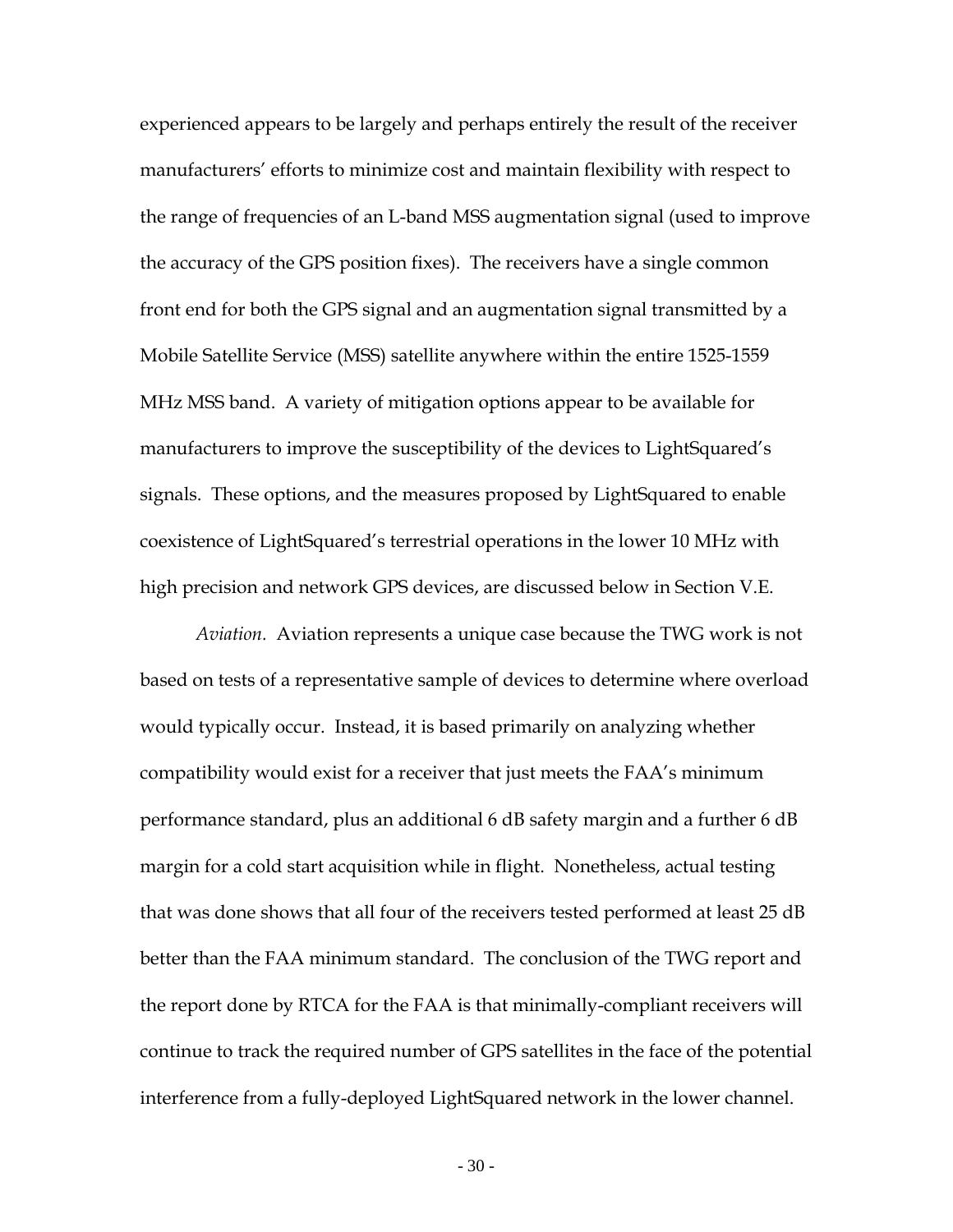*General Location and Navigation.* The TWG tested a total of 29 general location and navigation devices including 6 public safety devices for potential interference from operation on the lower 10 MHz channel. The results from static and dynamic tests show that none of the devices experienced harmful interference from LightSquared's lower 10 MHz channel. Even in the worst-case Dense Urban environment, with a 6 dB drop in  $C/N_0$ , the receiver performance continued to be almost indistinguishable from the case in which there is no potentially interfering signal.

 *Timing.* The TWG tested 13 timing devices for potential interference from operation on the lower 10 MHz channel. Only one device tested, of a highprecision type, experienced what might be considered harmful interference in the presence of a lower channel signal at a level that LightSquared estimates would occur in no more than ten percent of its coverage area. All of the other devices, including those typically used in Commercial Mobile Radio Service networks, continued to perform well at levels as high as -20 dBm. The uniquely problematic device appears to be marketed for fixed applications, so those few users in one of the relatively few problematic areas might need to move or replace the device with a more resilient timing device.

*Precision and Network.* The TWG tested 44 high-precision and network devices for potential interference from operation on the lower 10 MHz channel. The tests results for precision and network devices showed an unfortunate level of interference even from lower channel operations. The interference that was

- 29 -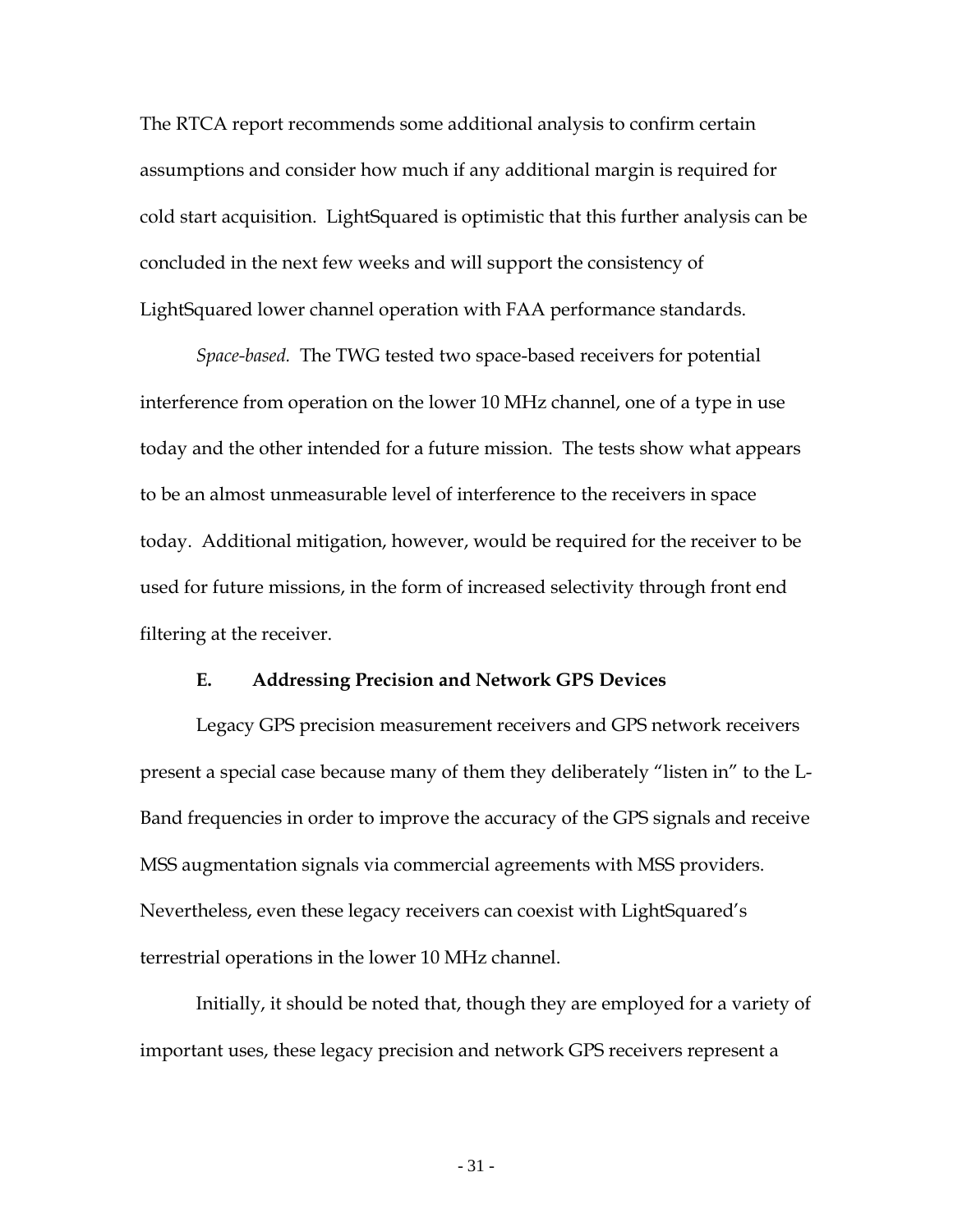experienced appears to be largely and perhaps entirely the result of the receiver manufacturers' efforts to minimize cost and maintain flexibility with respect to the range of frequencies of an L-band MSS augmentation signal (used to improve the accuracy of the GPS position fixes). The receivers have a single common front end for both the GPS signal and an augmentation signal transmitted by a Mobile Satellite Service (MSS) satellite anywhere within the entire 1525-1559 MHz MSS band. A variety of mitigation options appear to be available for manufacturers to improve the susceptibility of the devices to LightSquared's signals. These options, and the measures proposed by LightSquared to enable coexistence of LightSquared's terrestrial operations in the lower 10 MHz with high precision and network GPS devices, are discussed below in Section V.E.

*Aviation.* Aviation represents a unique case because the TWG work is not based on tests of a representative sample of devices to determine where overload would typically occur. Instead, it is based primarily on analyzing whether compatibility would exist for a receiver that just meets the FAA's minimum performance standard, plus an additional 6 dB safety margin and a further 6 dB margin for a cold start acquisition while in flight. Nonetheless, actual testing that was done shows that all four of the receivers tested performed at least 25 dB better than the FAA minimum standard. The conclusion of the TWG report and the report done by RTCA for the FAA is that minimally-compliant receivers will continue to track the required number of GPS satellites in the face of the potential interference from a fully-deployed LightSquared network in the lower channel.

- 30 -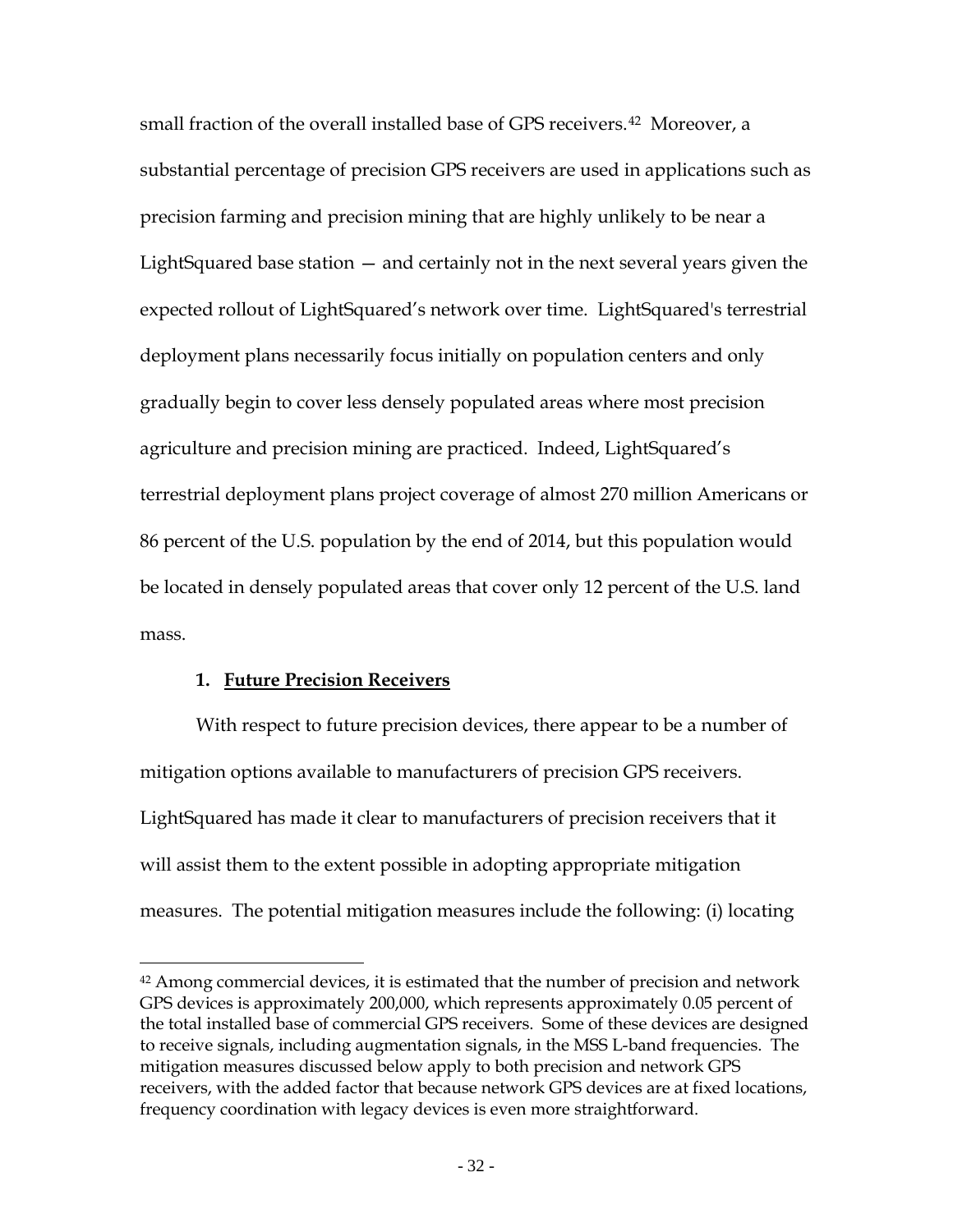The RTCA report recommends some additional analysis to confirm certain assumptions and consider how much if any additional margin is required for cold start acquisition. LightSquared is optimistic that this further analysis can be concluded in the next few weeks and will support the consistency of LightSquared lower channel operation with FAA performance standards.

*Space-based.* The TWG tested two space-based receivers for potential interference from operation on the lower 10 MHz channel, one of a type in use today and the other intended for a future mission. The tests show what appears to be an almost unmeasurable level of interference to the receivers in space today. Additional mitigation, however, would be required for the receiver to be used for future missions, in the form of increased selectivity through front end filtering at the receiver.

#### **E. Addressing Precision and Network GPS Devices**

Legacy GPS precision measurement receivers and GPS network receivers present a special case because many of them they deliberately "listen in" to the L-Band frequencies in order to improve the accuracy of the GPS signals and receive MSS augmentation signals via commercial agreements with MSS providers. Nevertheless, even these legacy receivers can coexist with LightSquared's terrestrial operations in the lower 10 MHz channel.

Initially, it should be noted that, though they are employed for a variety of important uses, these legacy precision and network GPS receivers represent a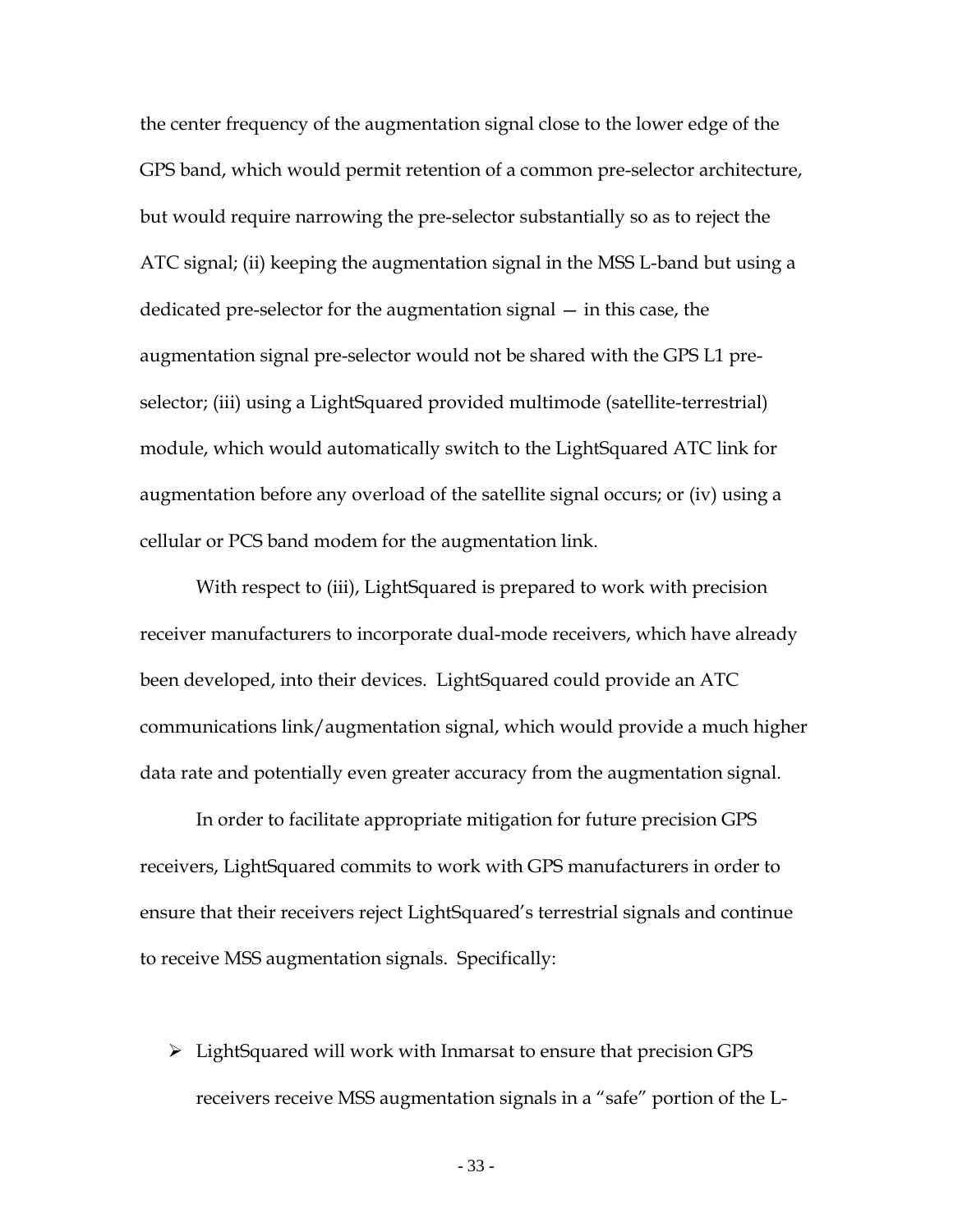small fraction of the overall installed base of GPS receivers.<sup>[42](#page-32-0)</sup> Moreover, a substantial percentage of precision GPS receivers are used in applications such as precision farming and precision mining that are highly unlikely to be near a LightSquared base station — and certainly not in the next several years given the expected rollout of LightSquared's network over time. LightSquared's terrestrial deployment plans necessarily focus initially on population centers and only gradually begin to cover less densely populated areas where most precision agriculture and precision mining are practiced. Indeed, LightSquared's terrestrial deployment plans project coverage of almost 270 million Americans or 86 percent of the U.S. population by the end of 2014, but this population would be located in densely populated areas that cover only 12 percent of the U.S. land mass.

## **1. Future Precision Receivers**

 $\overline{a}$ 

With respect to future precision devices, there appear to be a number of mitigation options available to manufacturers of precision GPS receivers. LightSquared has made it clear to manufacturers of precision receivers that it will assist them to the extent possible in adopting appropriate mitigation measures. The potential mitigation measures include the following: (i) locating

<span id="page-32-0"></span> $42$  Among commercial devices, it is estimated that the number of precision and network GPS devices is approximately 200,000, which represents approximately 0.05 percent of the total installed base of commercial GPS receivers. Some of these devices are designed to receive signals, including augmentation signals, in the MSS L-band frequencies. The mitigation measures discussed below apply to both precision and network GPS receivers, with the added factor that because network GPS devices are at fixed locations, frequency coordination with legacy devices is even more straightforward.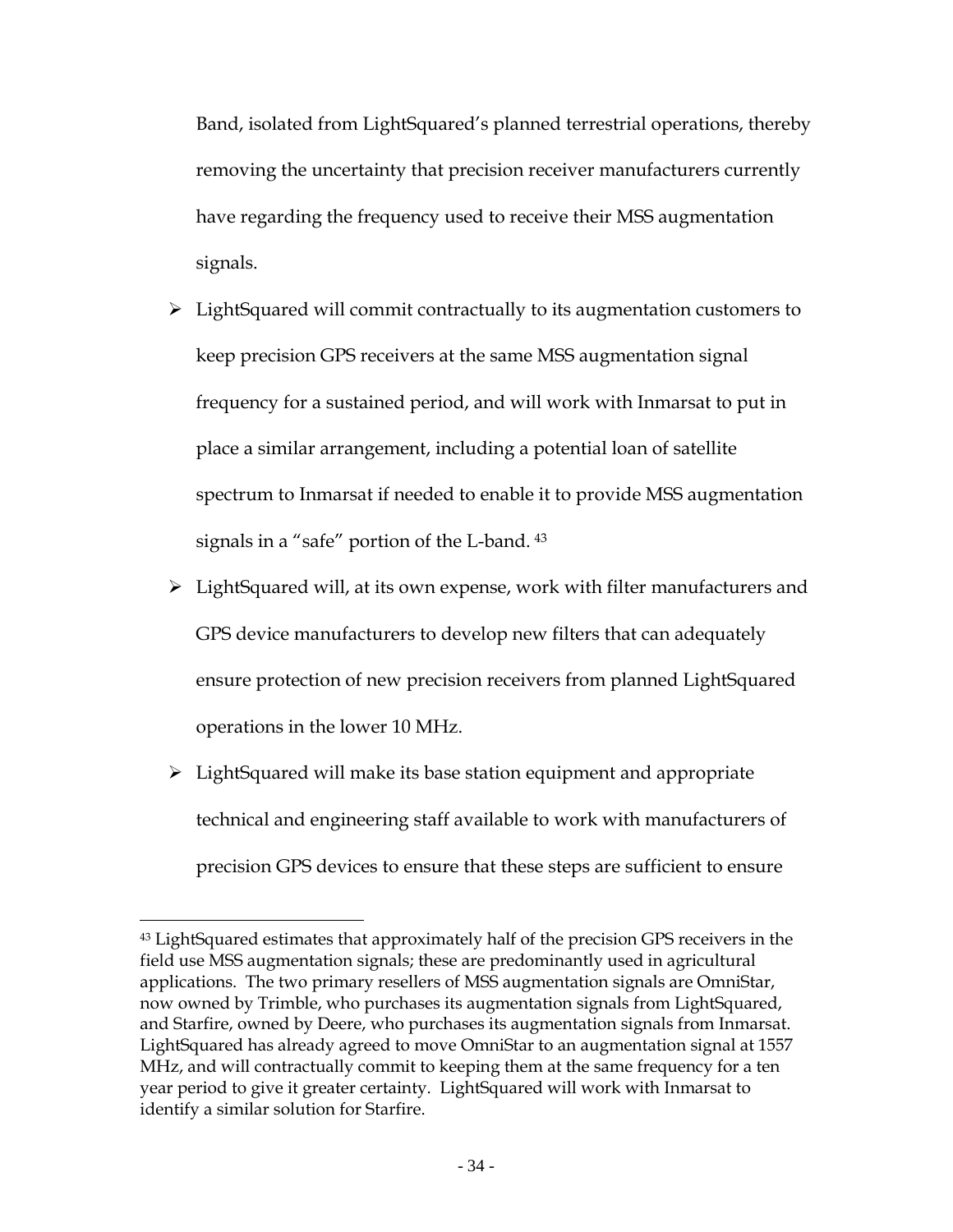the center frequency of the augmentation signal close to the lower edge of the GPS band, which would permit retention of a common pre-selector architecture, but would require narrowing the pre-selector substantially so as to reject the ATC signal; (ii) keeping the augmentation signal in the MSS L-band but using a dedicated pre-selector for the augmentation signal — in this case, the augmentation signal pre-selector would not be shared with the GPS L1 preselector; (iii) using a LightSquared provided multimode (satellite-terrestrial) module, which would automatically switch to the LightSquared ATC link for augmentation before any overload of the satellite signal occurs; or (iv) using a cellular or PCS band modem for the augmentation link.

With respect to (iii), LightSquared is prepared to work with precision receiver manufacturers to incorporate dual-mode receivers, which have already been developed, into their devices. LightSquared could provide an ATC communications link/augmentation signal, which would provide a much higher data rate and potentially even greater accuracy from the augmentation signal.

In order to facilitate appropriate mitigation for future precision GPS receivers, LightSquared commits to work with GPS manufacturers in order to ensure that their receivers reject LightSquared's terrestrial signals and continue to receive MSS augmentation signals. Specifically:

 $\triangleright$  LightSquared will work with Inmarsat to ensure that precision GPS receivers receive MSS augmentation signals in a "safe" portion of the L-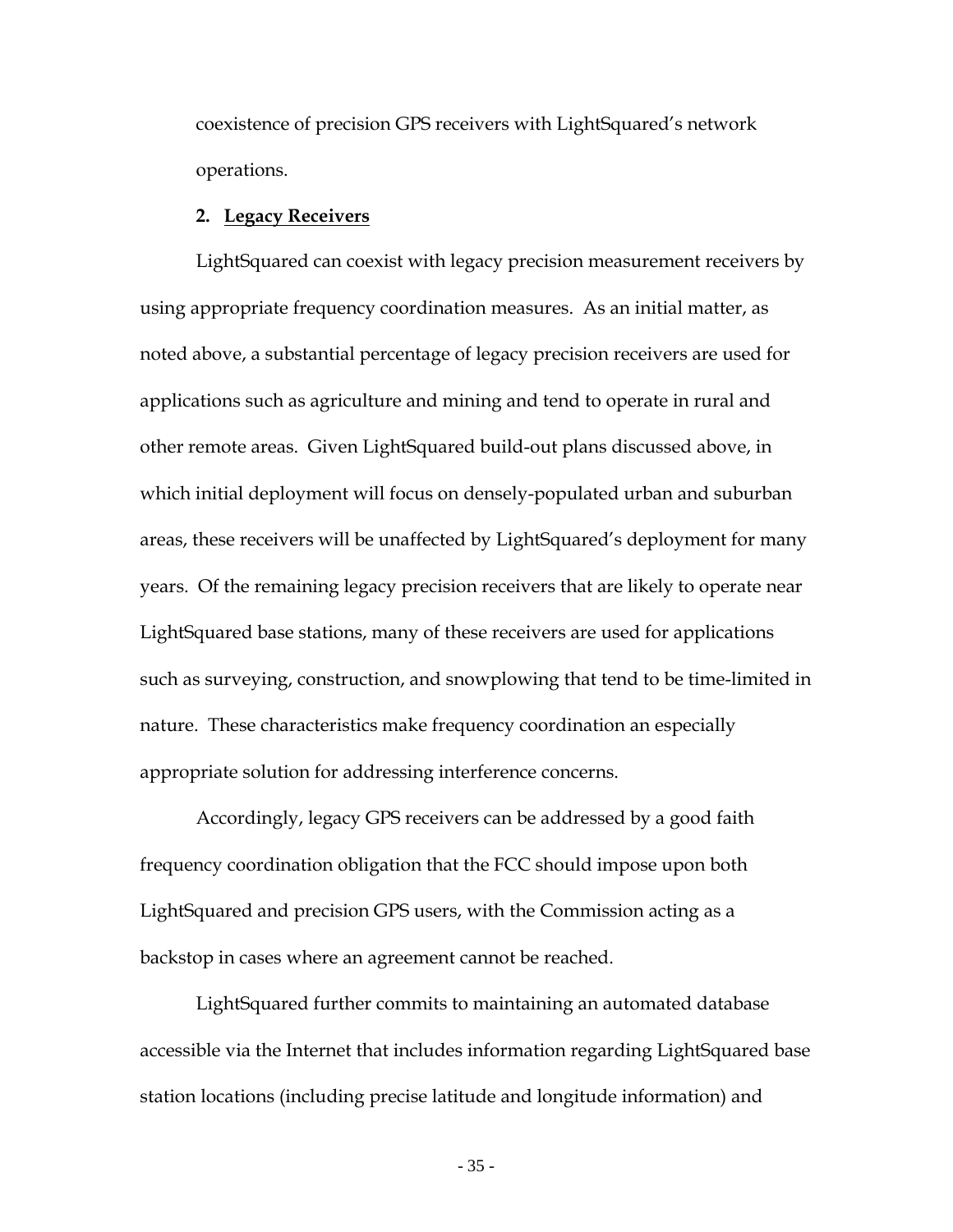Band, isolated from LightSquared's planned terrestrial operations, thereby removing the uncertainty that precision receiver manufacturers currently have regarding the frequency used to receive their MSS augmentation signals.

- $\triangleright$  LightSquared will commit contractually to its augmentation customers to keep precision GPS receivers at the same MSS augmentation signal frequency for a sustained period, and will work with Inmarsat to put in place a similar arrangement, including a potential loan of satellite spectrum to Inmarsat if needed to enable it to provide MSS augmentation signals in a "safe" portion of the L-band. [43](#page-34-0)
- LightSquared will, at its own expense, work with filter manufacturers and GPS device manufacturers to develop new filters that can adequately ensure protection of new precision receivers from planned LightSquared operations in the lower 10 MHz.
- $\triangleright$  LightSquared will make its base station equipment and appropriate technical and engineering staff available to work with manufacturers of precision GPS devices to ensure that these steps are sufficient to ensure

<span id="page-34-0"></span><sup>&</sup>lt;sup>43</sup> LightSquared estimates that approximately half of the precision GPS receivers in the field use MSS augmentation signals; these are predominantly used in agricultural applications. The two primary resellers of MSS augmentation signals are OmniStar, now owned by Trimble, who purchases its augmentation signals from LightSquared, and Starfire, owned by Deere, who purchases its augmentation signals from Inmarsat. LightSquared has already agreed to move OmniStar to an augmentation signal at 1557 MHz, and will contractually commit to keeping them at the same frequency for a ten year period to give it greater certainty. LightSquared will work with Inmarsat to identify a similar solution for Starfire.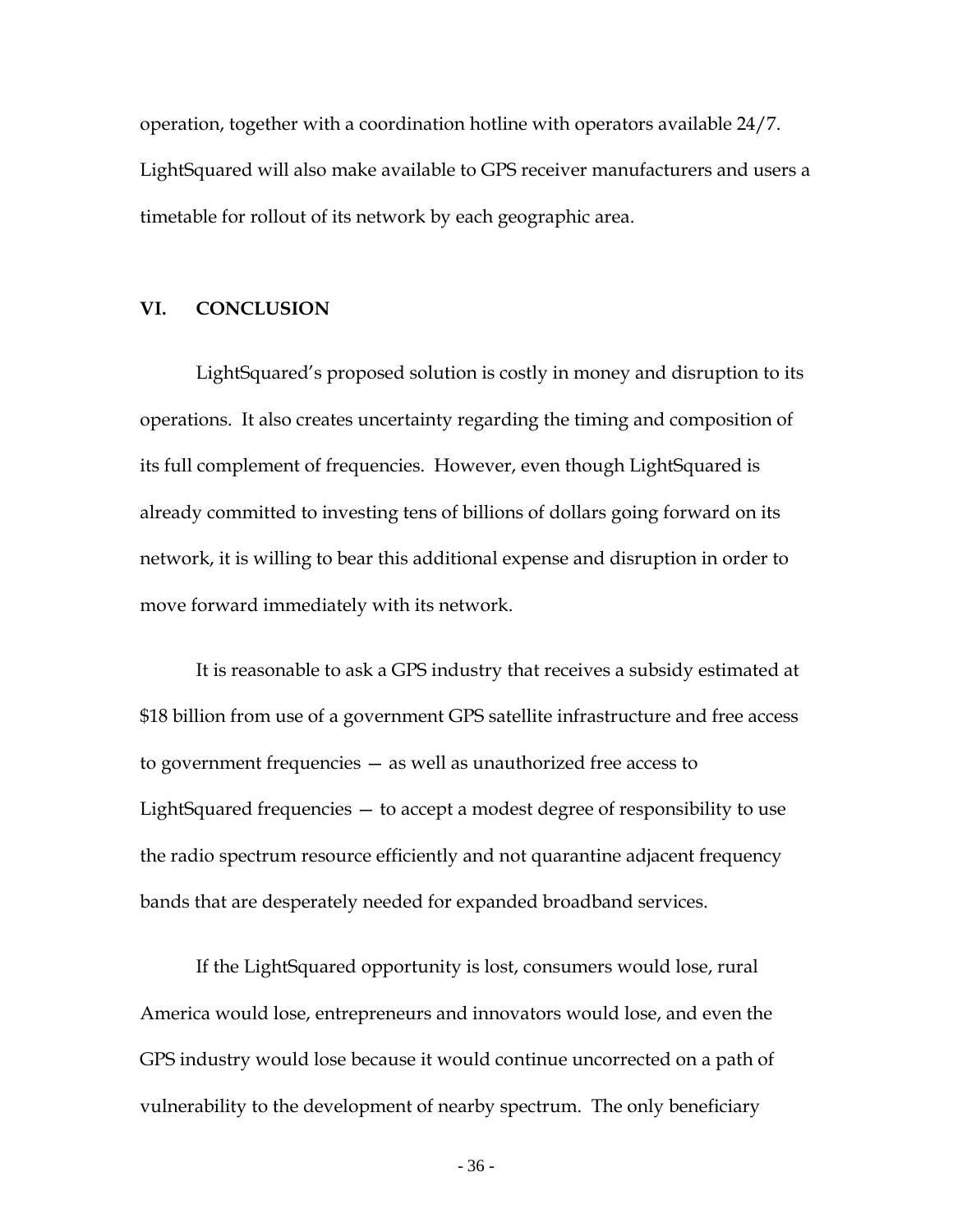coexistence of precision GPS receivers with LightSquared's network operations.

#### **2. Legacy Receivers**

LightSquared can coexist with legacy precision measurement receivers by using appropriate frequency coordination measures. As an initial matter, as noted above, a substantial percentage of legacy precision receivers are used for applications such as agriculture and mining and tend to operate in rural and other remote areas. Given LightSquared build-out plans discussed above, in which initial deployment will focus on densely-populated urban and suburban areas, these receivers will be unaffected by LightSquared's deployment for many years. Of the remaining legacy precision receivers that are likely to operate near LightSquared base stations, many of these receivers are used for applications such as surveying, construction, and snowplowing that tend to be time-limited in nature. These characteristics make frequency coordination an especially appropriate solution for addressing interference concerns.

Accordingly, legacy GPS receivers can be addressed by a good faith frequency coordination obligation that the FCC should impose upon both LightSquared and precision GPS users, with the Commission acting as a backstop in cases where an agreement cannot be reached.

LightSquared further commits to maintaining an automated database accessible via the Internet that includes information regarding LightSquared base station locations (including precise latitude and longitude information) and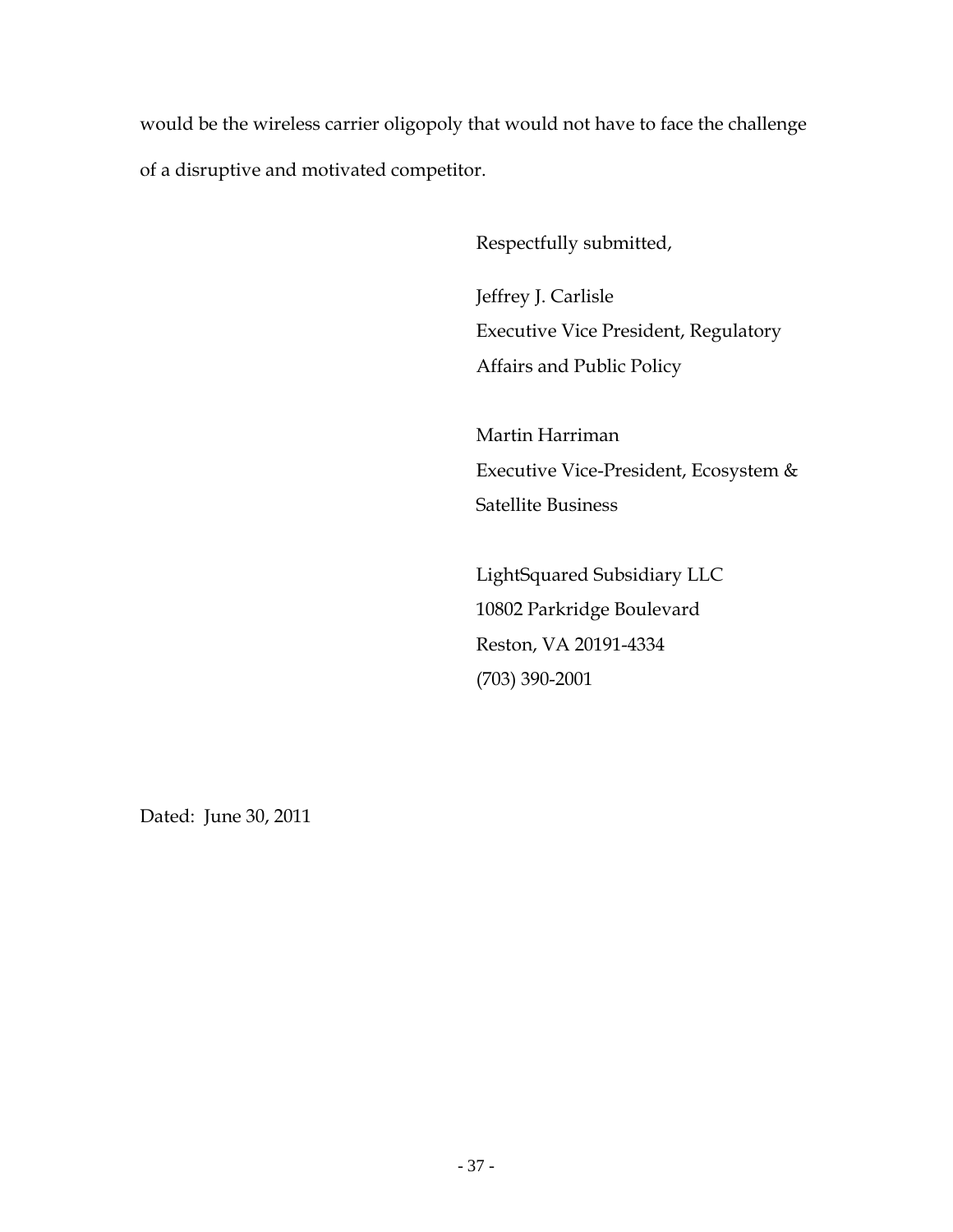operation, together with a coordination hotline with operators available 24/7. LightSquared will also make available to GPS receiver manufacturers and users a timetable for rollout of its network by each geographic area.

## **VI. CONCLUSION**

LightSquared's proposed solution is costly in money and disruption to its operations. It also creates uncertainty regarding the timing and composition of its full complement of frequencies. However, even though LightSquared is already committed to investing tens of billions of dollars going forward on its network, it is willing to bear this additional expense and disruption in order to move forward immediately with its network.

It is reasonable to ask a GPS industry that receives a subsidy estimated at \$18 billion from use of a government GPS satellite infrastructure and free access to government frequencies — as well as unauthorized free access to LightSquared frequencies — to accept a modest degree of responsibility to use the radio spectrum resource efficiently and not quarantine adjacent frequency bands that are desperately needed for expanded broadband services.

If the LightSquared opportunity is lost, consumers would lose, rural America would lose, entrepreneurs and innovators would lose, and even the GPS industry would lose because it would continue uncorrected on a path of vulnerability to the development of nearby spectrum. The only beneficiary